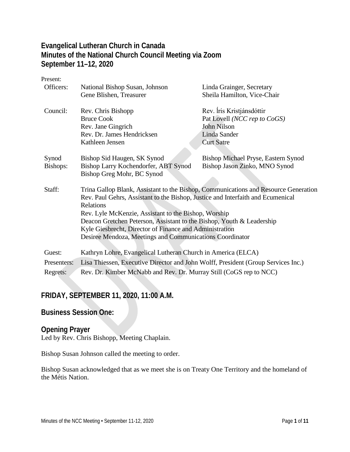## **Evangelical Lutheran Church in Canada Minutes of the National Church Council Meeting via Zoom September 11–12, 2020**

Present: Officers: National Bishop Susan, Johnson Gene Blishen, Treasurer Linda Grainger, Secretary Sheila Hamilton, Vice-Chair Council: Rev. Chris Bishopp Bruce Cook Rev. Jane Gingrich Rev. Dr. James Hendricksen Kathleen Jensen Rev. ĺris Kristjánsdóttir Pat Lovell *(NCC rep to CoGS)* John Nilson Linda Sander Curt Satre Synod Bishops: Bishop Sid Haugen, SK Synod Bishop Larry Kochendorfer, ABT Synod Bishop Greg Mohr, BC Synod Bishop Michael Pryse, Eastern Synod Bishop Jason Zinko, MNO Synod Staff: Trina Gallop Blank, Assistant to the Bishop, Communications and Resource Generation Rev. Paul Gehrs, Assistant to the Bishop, Justice and Interfaith and Ecumenical Relations Rev. Lyle McKenzie, Assistant to the Bishop, Worship Deacon Gretchen Peterson, Assistant to the Bishop, Youth & Leadership Kyle Giesbrecht, Director of Finance and Administration Desiree Mendoza, Meetings and Communications Coordinator Guest: Kathryn Lohre, Evangelical Lutheran Church in America (ELCA) Presenters: Lisa Thiessen, Executive Director and John Wolff, President (Group Services Inc.) Regrets: Rev. Dr. Kimber McNabb and Rev. Dr. Murray Still (CoGS rep to NCC)

## **FRIDAY, SEPTEMBER 11, 2020, 11:00 A.M.**

#### **Business Session One:**

#### **Opening Prayer**

Led by Rev. Chris Bishopp, Meeting Chaplain.

Bishop Susan Johnson called the meeting to order.

Bishop Susan acknowledged that as we meet she is on Treaty One Territory and the homeland of the Métis Nation.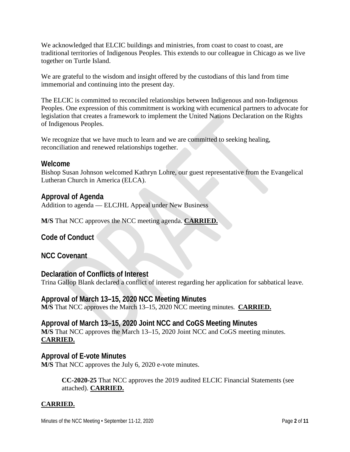We acknowledged that ELCIC buildings and ministries, from coast to coast to coast, are traditional territories of Indigenous Peoples. This extends to our colleague in Chicago as we live together on Turtle Island.

We are grateful to the wisdom and insight offered by the custodians of this land from time immemorial and continuing into the present day.

The ELCIC is committed to reconciled relationships between Indigenous and non-Indigenous Peoples. One expression of this commitment is working with ecumenical partners to advocate for legislation that creates a framework to implement the United Nations Declaration on the Rights of Indigenous Peoples.

We recognize that we have much to learn and we are committed to seeking healing, reconciliation and renewed relationships together.

## **Welcome**

Bishop Susan Johnson welcomed Kathryn Lohre, our guest representative from the Evangelical Lutheran Church in America (ELCA).

## **Approval of Agenda**

Addition to agenda — ELCJHL Appeal under New Business

**M/S** That NCC approves the NCC meeting agenda. **CARRIED.**

**Code of Conduct**

**NCC Covenant**

**Declaration of Conflicts of Interest** Trina Gallop Blank declared a conflict of interest regarding her application for sabbatical leave.

**Approval of March 13–15, 2020 NCC Meeting Minutes M/S** That NCC approves the March 13–15, 2020 NCC meeting minutes. **CARRIED.**

**Approval of March 13–15, 2020 Joint NCC and CoGS Meeting Minutes M/S** That NCC approves the March 13–15, 2020 Joint NCC and CoGS meeting minutes. **CARRIED.**

**Approval of E-vote Minutes M/S** That NCC approves the July 6, 2020 e-vote minutes.

> **CC-2020-25** That NCC approves the 2019 audited ELCIC Financial Statements (see attached). **CARRIED.**

## **CARRIED.**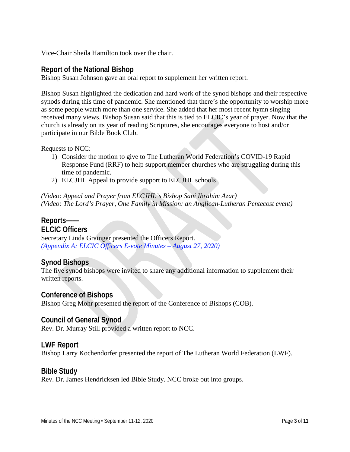Vice-Chair Sheila Hamilton took over the chair.

## **Report of the National Bishop**

Bishop Susan Johnson gave an oral report to supplement her written report.

Bishop Susan highlighted the dedication and hard work of the synod bishops and their respective synods during this time of pandemic. She mentioned that there's the opportunity to worship more as some people watch more than one service. She added that her most recent hymn singing received many views. Bishop Susan said that this is tied to ELCIC's year of prayer. Now that the church is already on its year of reading Scriptures, she encourages everyone to host and/or participate in our Bible Book Club.

Requests to NCC:

- 1) Consider the motion to give to The Lutheran World Federation's COVID-19 Rapid Response Fund (RRF) to help support member churches who are struggling during this time of pandemic.
- 2) ELCJHL Appeal to provide support to ELCJHL schools

*(Video: Appeal and Prayer from ELCJHL's Bishop Sani Ibrahim Azar) (Video: The Lord's Prayer, One Family in Mission: an Anglican-Lutheran Pentecost event)*

## **Reports——**

#### **ELCIC Officers**

Secretary Linda Grainger presented the Officers Report. *(Appendix A: ELCIC Officers E-vote Minutes – August 27, 2020)*

## **Synod Bishops**

The five synod bishops were invited to share any additional information to supplement their written reports.

#### **Conference of Bishops**

Bishop Greg Mohr presented the report of the Conference of Bishops (COB).

#### **Council of General Synod**

Rev. Dr. Murray Still provided a written report to NCC.

#### **LWF Report**

Bishop Larry Kochendorfer presented the report of The Lutheran World Federation (LWF).

#### **Bible Study**

Rev. Dr. James Hendricksen led Bible Study. NCC broke out into groups.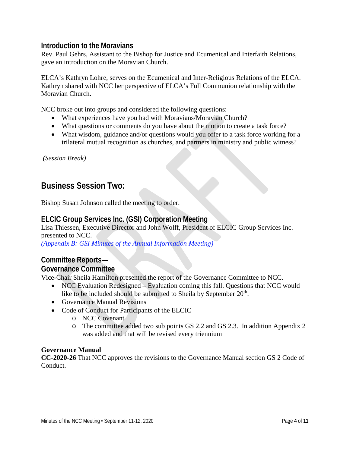## **Introduction to the Moravians**

Rev. Paul Gehrs, Assistant to the Bishop for Justice and Ecumenical and Interfaith Relations, gave an introduction on the Moravian Church.

ELCA's Kathryn Lohre, serves on the Ecumenical and Inter-Religious Relations of the ELCA. Kathryn shared with NCC her perspective of ELCA's Full Communion relationship with the Moravian Church.

NCC broke out into groups and considered the following questions:

- What experiences have you had with Moravians/Moravian Church?
- What questions or comments do you have about the motion to create a task force?
- What wisdom, guidance and/or questions would you offer to a task force working for a trilateral mutual recognition as churches, and partners in ministry and public witness?

*(Session Break)*

## **Business Session Two:**

Bishop Susan Johnson called the meeting to order.

## **ELCIC Group Services Inc. (GSI) Corporation Meeting**

Lisa Thiessen, Executive Director and John Wolff, President of ELCIC Group Services Inc. presented to NCC.

*(Appendix B: GSI Minutes of the Annual Information Meeting)*

## **Committee Reports—**

#### **Governance Committee**

Vice-Chair Sheila Hamilton presented the report of the Governance Committee to NCC.

- NCC Evaluation Redesigned Evaluation coming this fall. Questions that NCC would like to be included should be submitted to Sheila by September 20<sup>th</sup>.
- Governance Manual Revisions
- Code of Conduct for Participants of the ELCIC
	- o NCC Covenant
	- o The committee added two sub points GS 2.2 and GS 2.3. In addition Appendix 2 was added and that will be revised every triennium

#### **Governance Manual**

**CC-2020-26** That NCC approves the revisions to the Governance Manual section GS 2 Code of Conduct.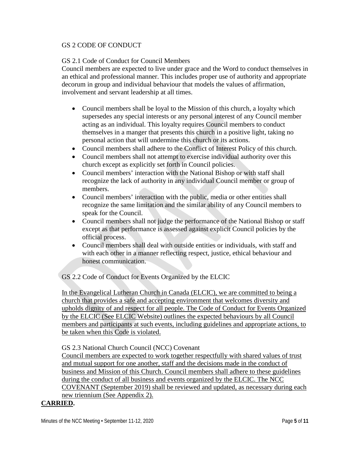#### GS 2 CODE OF CONDUCT

#### GS 2.1 Code of Conduct for Council Members

Council members are expected to live under grace and the Word to conduct themselves in an ethical and professional manner. This includes proper use of authority and appropriate decorum in group and individual behaviour that models the values of affirmation, involvement and servant leadership at all times.

- Council members shall be loyal to the Mission of this church, a loyalty which supersedes any special interests or any personal interest of any Council member acting as an individual. This loyalty requires Council members to conduct themselves in a manger that presents this church in a positive light, taking no personal action that will undermine this church or its actions.
- Council members shall adhere to the Conflict of Interest Policy of this church.
- Council members shall not attempt to exercise individual authority over this church except as explicitly set forth in Council policies.
- Council members' interaction with the National Bishop or with staff shall recognize the lack of authority in any individual Council member or group of members.
- Council members' interaction with the public, media or other entities shall recognize the same limitation and the similar ability of any Council members to speak for the Council.
- Council members shall not judge the performance of the National Bishop or staff except as that performance is assessed against explicit Council policies by the official process.
- Council members shall deal with outside entities or individuals, with staff and with each other in a manner reflecting respect, justice, ethical behaviour and honest communication.

GS 2.2 Code of Conduct for Events Organized by the ELCIC

In the Evangelical Lutheran Church in Canada (ELCIC), we are committed to being a church that provides a safe and accepting environment that welcomes diversity and upholds dignity of and respect for all people. The Code of Conduct for Events Organized by the ELCIC (See ELCIC Website) outlines the expected behaviours by all Council members and participants at such events, including guidelines and appropriate actions, to be taken when this Code is violated.

GS 2.3 National Church Council (NCC) Covenant

Council members are expected to work together respectfully with shared values of trust and mutual support for one another, staff and the decisions made in the conduct of business and Mission of this Church. Council members shall adhere to these guidelines during the conduct of all business and events organized by the ELCIC. The NCC COVENANT (September 2019) shall be reviewed and updated, as necessary during each new triennium (See Appendix 2).

#### **CARRIED.**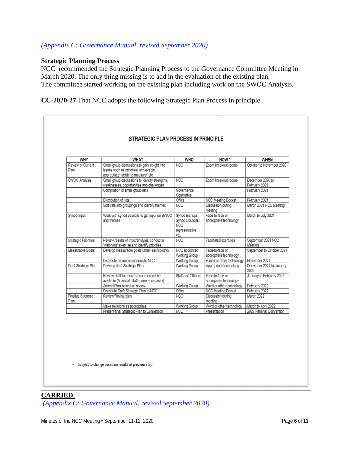#### *(Appendix C: Governance Manual, revised September 2020)*

#### **Strategic Planning Process**

NCC recommended the Strategic Planning Process to the Governance Committee Meeting in March 2020. The only thing missing is to add in the evaluation of the existing plan. The committee started working on the existing plan including work on the SWOC Analysis.

**CC-2020-27** That NCC adopts the following Strategic Plan Process in principle.

| <b>WHY</b>                        | <b>WHAT</b>                                                                                                                    | <b>WHO</b>                                                                 | HOW *                                     | <b>WHEN</b>                       |  |
|-----------------------------------|--------------------------------------------------------------------------------------------------------------------------------|----------------------------------------------------------------------------|-------------------------------------------|-----------------------------------|--|
| Review of Current<br>Plan         | Small group discussions to gain insight into<br>issues such as priorities, achievable,<br>appropriate, ability to measure, etc | <b>NCC</b>                                                                 | Zoom breakout rooms                       | October to November 2020          |  |
| <b>SWOC Analysis</b>              | Small group discussions to identify strengths.<br>weaknesses, opportunities and challenges                                     | <b>NCC</b>                                                                 | Zoom breakout rooms                       | December 2020 to<br>February 2021 |  |
|                                   | Compilation of small group lists                                                                                               | Governance<br>Committee                                                    |                                           | February 2021                     |  |
|                                   | Distribution of lists                                                                                                          | Office                                                                     | <b>NCC Meeting Docket</b>                 | February 2021                     |  |
|                                   | Sort lists into groupings and identify themes                                                                                  | <b>NCC</b>                                                                 | Discussion during<br>meeting              | March 2021 NCC Meeting            |  |
| Synod Input                       | Work with synod councils to get input on SWOC<br>and themes                                                                    | Synod Bishops,<br>Synod Councils,<br><b>NCC</b><br>representative,<br>etc. | Face-to-face or<br>appropriate technology | March to July 2021                |  |
| <b>Strategic Priorities</b>       | Review results of input/analysis; conduct a<br>"visioning" exercise and identify priorities                                    | <b>NCC</b>                                                                 | <b>Facilitated exercises</b>              | September 2021 NCC<br>Meeting     |  |
| Measurable Goals                  | Develop measurable goals under each priority                                                                                   | NCC appointed<br><b>Working Group</b>                                      | Face-to-face or<br>appropriate technology | September to October 2021         |  |
|                                   | Distribute recommendations to NCC                                                                                              | Working Group                                                              | E-mail or other technology                | November 2021                     |  |
| Draft Strategic Plan              | Develop draft Strategic Plan                                                                                                   | <b>Working Group</b>                                                       | Appropriate technology                    | December 2021 to January<br>2022  |  |
|                                   | Review draft to ensure resources will be<br>available (financial, staff, general capacity)                                     | Staff and Officers                                                         | Face-to-face or<br>appropriate technology | January to February 2022          |  |
|                                   | Amend Plan based on review                                                                                                     | <b>Working Group</b>                                                       | Word or other technology                  | February 2022                     |  |
|                                   | Distribute Draft Strategic Plan to NCC                                                                                         | Office                                                                     | <b>NCC Meeting Docket</b>                 | February 2022                     |  |
| <b>Finalize Strategic</b><br>Plan | Review/Revise plan                                                                                                             | <b>NCC</b>                                                                 | Discussion during<br>meeting              | March 2022                        |  |
|                                   | Make revisions as appropriate                                                                                                  | Working Group                                                              | Word or other technology                  | March to April 2022               |  |
|                                   | Present final Strategic Plan to Convention                                                                                     | <b>NCC</b>                                                                 | Presentation                              | 2022 National Convention          |  |

\* Subject to change based on results of previous step

## **CARRIED.** *(Appendix C: Governance Manual, revised September 2020)*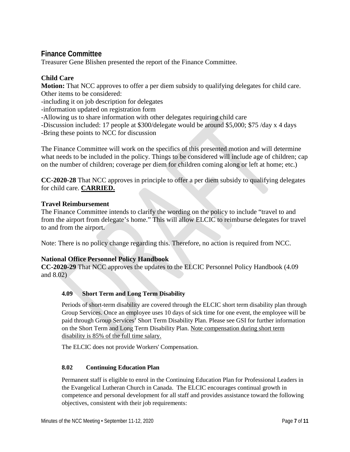## **Finance Committee**

Treasurer Gene Blishen presented the report of the Finance Committee.

#### **Child Care**

**Motion:** That NCC approves to offer a per diem subsidy to qualifying delegates for child care. Other items to be considered:

-including it on job description for delegates

-information updated on registration form

-Allowing us to share information with other delegates requiring child care

-Discussion included: 17 people at \$300/delegate would be around \$5,000; \$75 /day x 4 days -Bring these points to NCC for discussion

The Finance Committee will work on the specifics of this presented motion and will determine what needs to be included in the policy. Things to be considered will include age of children; cap on the number of children; coverage per diem for children coming along or left at home; etc.)

**CC-2020-28** That NCC approves in principle to offer a per diem subsidy to qualifying delegates for child care. **CARRIED.**

#### **Travel Reimbursement**

The Finance Committee intends to clarify the wording on the policy to include "travel to and from the airport from delegate's home." This will allow ELCIC to reimburse delegates for travel to and from the airport.

Note: There is no policy change regarding this. Therefore, no action is required from NCC.

#### **National Office Personnel Policy Handbook**

**CC-2020-29** That NCC approves the updates to the ELCIC Personnel Policy Handbook (4.09 and 8.02)

#### **4.09 Short Term and Long Term Disability**

Periods of short-term disability are covered through the ELCIC short term disability plan through Group Services. Once an employee uses 10 days of sick time for one event, the employee will be paid through Group Services' Short Term Disability Plan. Please see GSI for further information on the Short Term and Long Term Disability Plan. Note compensation during short term disability is 85% of the full time salary.

The ELCIC does not provide Workers' Compensation.

#### **8.02 Continuing Education Plan**

Permanent staff is eligible to enrol in the Continuing Education Plan for Professional Leaders in the Evangelical Lutheran Church in Canada. The ELCIC encourages continual growth in competence and personal development for all staff and provides assistance toward the following objectives, consistent with their job requirements: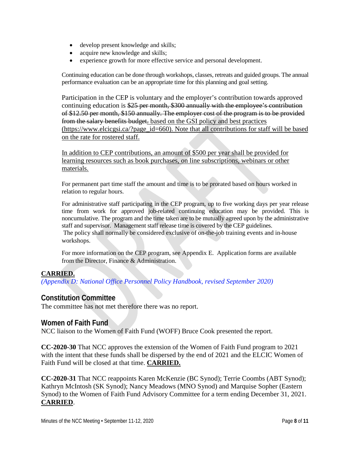- develop present knowledge and skills;
- acquire new knowledge and skills;
- experience growth for more effective service and personal development.

Continuing education can be done through workshops, classes, retreats and guided groups. The annual performance evaluation can be an appropriate time for this planning and goal setting.

Participation in the CEP is voluntary and the employer's contribution towards approved continuing education is \$25 per month, \$300 annually with the employee's contribution of \$12.50 per month, \$150 annually. The employer cost of the program is to be provided from the salary benefits budget. based on the GSI policy and best practices (https://www.elcicgsi.ca/?page\_id=660). Note that all contributions for staff will be based on the rate for rostered staff.

In addition to CEP contributions, an amount of \$500 per year shall be provided for learning resources such as book purchases, on line subscriptions, webinars or other materials.

For permanent part time staff the amount and time is to be prorated based on hours worked in relation to regular hours.

For administrative staff participating in the CEP program, up to five working days per year release time from work for approved job-related continuing education may be provided. This is noncumulative. The program and the time taken are to be mutually agreed upon by the administrative staff and supervisor. Management staff release time is covered by the CEP guidelines. The policy shall normally be considered exclusive of on-the-job training events and in-house workshops.

For more information on the CEP program, see Appendix E. Application forms are available from the Director, Finance & Administration.

#### **CARRIED.**

*(Appendix D: National Office Personnel Policy Handbook, revised September 2020)* 

## **Constitution Committee**

The committee has not met therefore there was no report.

#### **Women of Faith Fund**

NCC liaison to the Women of Faith Fund (WOFF) Bruce Cook presented the report.

**CC-2020-30** That NCC approves the extension of the Women of Faith Fund program to 2021 with the intent that these funds shall be dispersed by the end of 2021 and the ELCIC Women of Faith Fund will be closed at that time. **CARRIED.**

**CC-2020-31** That NCC reappoints Karen McKenzie (BC Synod); Terrie Coombs (ABT Synod); Kathryn McIntosh (SK Synod); Nancy Meadows (MNO Synod) and Marquise Sopher (Eastern Synod) to the Women of Faith Fund Advisory Committee for a term ending December 31, 2021. **CARRIED**.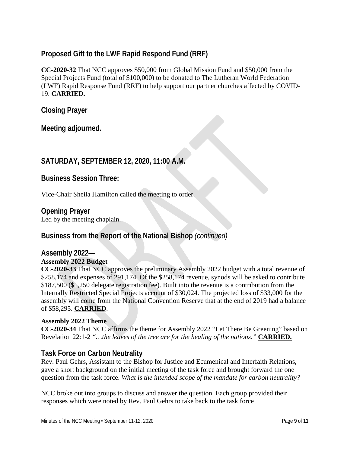## **Proposed Gift to the LWF Rapid Respond Fund (RRF)**

**CC-2020-32** That NCC approves \$50,000 from Global Mission Fund and \$50,000 from the Special Projects Fund (total of \$100,000) to be donated to The Lutheran World Federation (LWF) Rapid Response Fund (RRF) to help support our partner churches affected by COVID-19. **CARRIED.**

**Closing Prayer**

**Meeting adjourned.**

## **SATURDAY, SEPTEMBER 12, 2020, 11:00 A.M.**

**Business Session Three:**

Vice-Chair Sheila Hamilton called the meeting to order.

#### **Opening Prayer**

Led by the meeting chaplain.

## **Business from the Report of the National Bishop** *(continued)*

#### **Assembly 2022— Assembly 2022 Budget**

**CC-2020-33** That NCC approves the preliminary Assembly 2022 budget with a total revenue of \$258,174 and expenses of 291,174. Of the \$258,174 revenue, synods will be asked to contribute \$187,500 (\$1,250 delegate registration fee). Built into the revenue is a contribution from the Internally Restricted Special Projects account of \$30,024. The projected loss of \$33,000 for the assembly will come from the National Convention Reserve that at the end of 2019 had a balance of \$58,295. **CARRIED**.

#### **Assembly 2022 Theme**

**CC-2020-34** That NCC affirms the theme for Assembly 2022 "Let There Be Greening" based on Revelation 22:1-2 *"…the leaves of the tree are for the healing of the nations."* **CARRIED.**

## **Task Force on Carbon Neutrality**

Rev. Paul Gehrs, Assistant to the Bishop for Justice and Ecumenical and Interfaith Relations, gave a short background on the initial meeting of the task force and brought forward the one question from the task force. *What is the intended scope of the mandate for carbon neutrality?*

NCC broke out into groups to discuss and answer the question. Each group provided their responses which were noted by Rev. Paul Gehrs to take back to the task force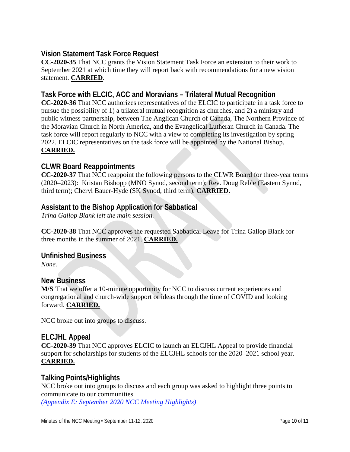## **Vision Statement Task Force Request**

**CC-2020-35** That NCC grants the Vision Statement Task Force an extension to their work to September 2021 at which time they will report back with recommendations for a new vision statement. **CARRIED**.

## **Task Force with ELCIC, ACC and Moravians – Trilateral Mutual Recognition**

**CC-2020-36** That NCC authorizes representatives of the ELCIC to participate in a task force to pursue the possibility of 1) a trilateral mutual recognition as churches, and 2) a ministry and public witness partnership, between The Anglican Church of Canada, The Northern Province of the Moravian Church in North America, and the Evangelical Lutheran Church in Canada. The task force will report regularly to NCC with a view to completing its investigation by spring 2022. ELCIC representatives on the task force will be appointed by the National Bishop. **CARRIED.**

## **CLWR Board Reappointments**

**CC-2020-37** That NCC reappoint the following persons to the CLWR Board for three-year terms (2020–2023): Kristan Bishopp (MNO Synod, second term); Rev. Doug Reble (Eastern Synod, third term); Cheryl Bauer-Hyde (SK Synod, third term). **CARRIED.**

## **Assistant to the Bishop Application for Sabbatical**

*Trina Gallop Blank left the main session.*

**CC-2020-38** That NCC approves the requested Sabbatical Leave for Trina Gallop Blank for three months in the summer of 2021. **CARRIED.**

**Unfinished Business**

*None.*

#### **New Business**

**M/S** That we offer a 10-minute opportunity for NCC to discuss current experiences and congregational and church-wide support or ideas through the time of COVID and looking forward. **CARRIED.**

NCC broke out into groups to discuss.

## **ELCJHL Appeal**

**CC-2020-39** That NCC approves ELCIC to launch an ELCJHL Appeal to provide financial support for scholarships for students of the ELCJHL schools for the 2020–2021 school year. **CARRIED.**

## **Talking Points/Highlights**

NCC broke out into groups to discuss and each group was asked to highlight three points to communicate to our communities.

*(Appendix E: September 2020 NCC Meeting Highlights)*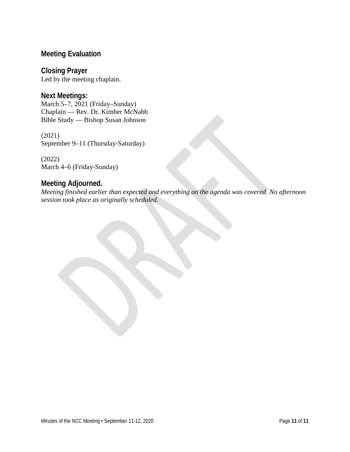## **Meeting Evaluation**

**Closing Prayer** Led by the meeting chaplain.

**Next Meetings:** March 5–7, 2021 (Friday–Sunday) Chaplain — Rev. Dr. Kimber McNabb Bible Study — Bishop Susan Johnson

(2021) September 9–11 (Thursday-Saturday)

(2022) March 4–6 (Friday-Sunday)

## **Meeting Adjourned.**

*Meeting finished earlier than expected and everything on the agenda was covered. No afternoon session took place as originally scheduled.*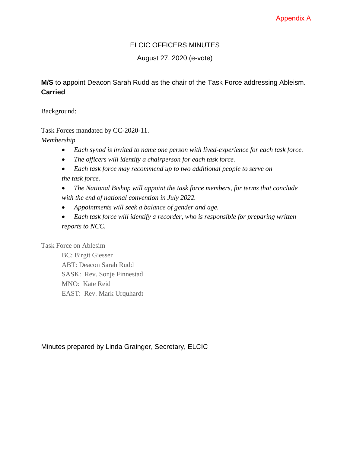## Appendix A

## ELCIC OFFICERS MINUTES

August 27, 2020 (e-vote)

## **M/S** to appoint Deacon Sarah Rudd as the chair of the Task Force addressing Ableism. **Carried**

Background:

Task Forces mandated by CC-2020-11.

*Membership*

- *Each synod is invited to name one person with lived-experience for each task force.*
- *The officers will identify a chairperson for each task force.*
- *Each task force may recommend up to two additional people to serve on the task force.*
- *The National Bishop will appoint the task force members, for terms that conclude with the end of national convention in July 2022.*
- *Appointments will seek a balance of gender and age.*
- *Each task force will identify a recorder, who is responsible for preparing written reports to NCC.*

Task Force on Ablesim

BC: Birgit Giesser ABT: Deacon Sarah Rudd SASK: Rev. Sonje Finnestad MNO: Kate Reid EAST: Rev. Mark Urquhardt

Minutes prepared by Linda Grainger, Secretary, ELCIC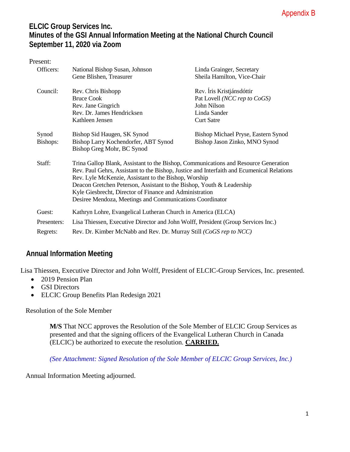## **ELCIC Group Services Inc. Minutes of the GSI Annual Information Meeting at the National Church Council September 11, 2020 via Zoom**

| Present:    |                                                                                                                                                                                                                                          |                                     |  |  |  |
|-------------|------------------------------------------------------------------------------------------------------------------------------------------------------------------------------------------------------------------------------------------|-------------------------------------|--|--|--|
| Officers:   | National Bishop Susan, Johnson                                                                                                                                                                                                           | Linda Grainger, Secretary           |  |  |  |
|             | Gene Blishen, Treasurer                                                                                                                                                                                                                  | Sheila Hamilton, Vice-Chair         |  |  |  |
| Council:    | Rev. Chris Bishopp                                                                                                                                                                                                                       | Rev. Íris Kristjánsdóttir           |  |  |  |
|             | <b>Bruce Cook</b>                                                                                                                                                                                                                        | Pat Lovell (NCC rep to CoGS)        |  |  |  |
|             | Rev. Jane Gingrich                                                                                                                                                                                                                       | John Nilson                         |  |  |  |
|             | Rev. Dr. James Hendricksen                                                                                                                                                                                                               | Linda Sander                        |  |  |  |
|             | Kathleen Jensen                                                                                                                                                                                                                          | <b>Curt Satre</b>                   |  |  |  |
| Synod       | Bishop Sid Haugen, SK Synod                                                                                                                                                                                                              | Bishop Michael Pryse, Eastern Synod |  |  |  |
| Bishops:    | Bishop Larry Kochendorfer, ABT Synod                                                                                                                                                                                                     | Bishop Jason Zinko, MNO Synod       |  |  |  |
|             | Bishop Greg Mohr, BC Synod                                                                                                                                                                                                               |                                     |  |  |  |
| Staff:      | Trina Gallop Blank, Assistant to the Bishop, Communications and Resource Generation<br>Rev. Paul Gehrs, Assistant to the Bishop, Justice and Interfaith and Ecumenical Relations<br>Rev. Lyle McKenzie, Assistant to the Bishop, Worship |                                     |  |  |  |
|             | Deacon Gretchen Peterson, Assistant to the Bishop, Youth & Leadership                                                                                                                                                                    |                                     |  |  |  |
|             | Kyle Giesbrecht, Director of Finance and Administration                                                                                                                                                                                  |                                     |  |  |  |
|             | Desiree Mendoza, Meetings and Communications Coordinator                                                                                                                                                                                 |                                     |  |  |  |
| Guest:      | Kathryn Lohre, Evangelical Lutheran Church in America (ELCA)                                                                                                                                                                             |                                     |  |  |  |
| Presenters: | Lisa Thiessen, Executive Director and John Wolff, President (Group Services Inc.)                                                                                                                                                        |                                     |  |  |  |
| Regrets:    | Rev. Dr. Kimber McNabb and Rev. Dr. Murray Still (CoGS rep to NCC)                                                                                                                                                                       |                                     |  |  |  |

## **Annual Information Meeting**

Lisa Thiessen, Executive Director and John Wolff, President of ELCIC-Group Services, Inc. presented.

- 2019 Pension Plan
- GSI Directors
- ELCIC Group Benefits Plan Redesign 2021

Resolution of the Sole Member

**M/S** That NCC approves the Resolution of the Sole Member of ELCIC Group Services as presented and that the signing officers of the Evangelical Lutheran Church in Canada (ELCIC) be authorized to execute the resolution. **CARRIED.**

*(See Attachment: Signed Resolution of the Sole Member of ELCIC Group Services, Inc.)* 

Annual Information Meeting adjourned.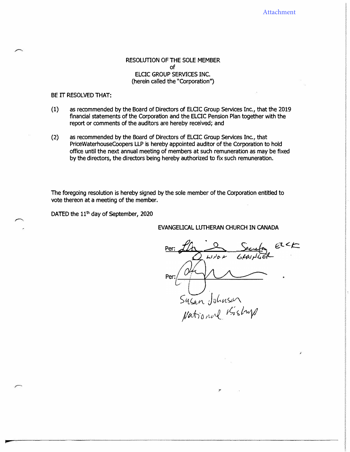#### RESOLUTION OF THE SOLE MEMBER of ELCTC GROUP SERVICES INC. (herein called the "Corporation'')

#### BE IT RESOLVED THAT:

- (1) as recommended by the Board of Directors of ELCTC Group services Inc., that the 2019 financial statements of the Corporation and the ELCTC Pension Plan together with the report or comments of the auditors are hereby received; and
- (2) as recommended by the Board of Directors of ELCTC Group services Inc., that PriceWaterhouseCoopers LLP is hereby appointed auditor of the Corporation to hold office until the next annual meeting of members at such remuneration as may be fixed by the directors, the directors being hereby authorized to fix such remuneration.

The foregoing resolution is hereby signed by the sole member of the Corporation entitled to vote thereon at a meeting of the member.

DATED the  $11<sup>th</sup>$  day of September, 2020

EVANGELICAL LUTHERAN CHURCH IN CANADA

Senday elk Per:  $J\!\!\!\!/\,\,$  $\sum_{\mu}$ ساد بتالها اس<mark>ل</mark> Per: *) '{ (,IV'\.* JD *lvt <;,v\ )/ td:)'(J* iW{ *fs;* � *i�*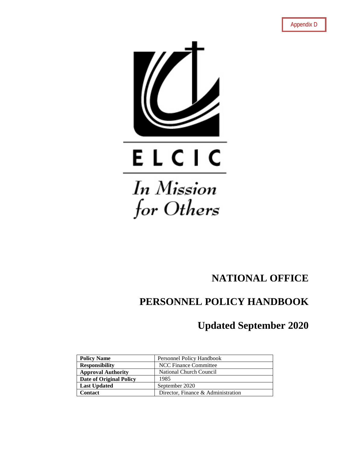

# for Others

# **NATIONAL OFFICE**

# **PERSONNEL POLICY HANDBOOK**

## **Updated September 2020**

| <b>Policy Name</b>        | Personnel Policy Handbook          |
|---------------------------|------------------------------------|
| <b>Responsibility</b>     | <b>NCC Finance Committee</b>       |
| <b>Approval Authority</b> | National Church Council            |
| Date of Original Policy   | 1985                               |
| <b>Last Updated</b>       | September 2020                     |
| Contact                   | Director, Finance & Administration |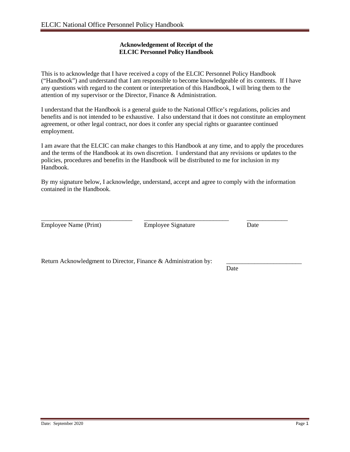#### **Acknowledgement of Receipt of the ELCIC Personnel Policy Handbook**

This is to acknowledge that I have received a copy of the ELCIC Personnel Policy Handbook ("Handbook") and understand that I am responsible to become knowledgeable of its contents. If I have any questions with regard to the content or interpretation of this Handbook, I will bring them to the attention of my supervisor or the Director, Finance & Administration.

I understand that the Handbook is a general guide to the National Office's regulations, policies and benefits and is not intended to be exhaustive. I also understand that it does not constitute an employment agreement, or other legal contract, nor does it confer any special rights or guarantee continued employment.

I am aware that the ELCIC can make changes to this Handbook at any time, and to apply the procedures and the terms of the Handbook at its own discretion. I understand that any revisions or updates to the policies, procedures and benefits in the Handbook will be distributed to me for inclusion in my Handbook.

By my signature below, I acknowledge, understand, accept and agree to comply with the information contained in the Handbook.

\_\_\_\_\_\_\_\_\_\_\_\_\_\_\_\_\_\_\_\_\_\_\_\_\_\_\_\_\_ \_\_\_\_\_\_\_\_\_\_\_\_\_\_\_\_\_\_\_\_\_\_\_\_\_\_\_ \_\_\_\_\_\_\_\_\_\_\_\_\_ Employee Name (Print) Employee Signature Date

Return Acknowledgment to Director, Finance  $\&$  Administration by:

**Date**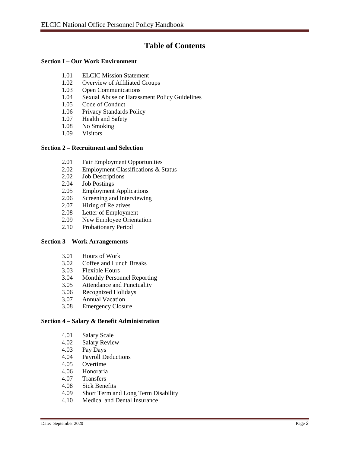## **Table of Contents**

#### **Section I – Our Work Environment**

- 1.01 ELCIC Mission Statement
- 1.02 Overview of Affiliated Groups
- 1.03 Open Communications
- 1.04 Sexual Abuse or Harassment Policy Guidelines
- 1.05 Code of Conduct
- 1.06 Privacy Standards Policy
- 1.07 Health and Safety
- 1.08 No Smoking
- 1.09 Visitors

#### **Section 2 – Recruitment and Selection**

- 2.01 Fair Employment Opportunities
- 2.02 Employment Classifications & Status
- 2.02 Job Descriptions
- 2.04 Job Postings
- 2.05 Employment Applications
- 2.06 Screening and Interviewing
- 2.07 Hiring of Relatives
- 2.08 Letter of Employment
- 2.09 New Employee Orientation<br>2.10 Probationary Period
- Probationary Period

#### **Section 3 – Work Arrangements**

- 3.01 Hours of Work
- 3.02 Coffee and Lunch Breaks
- 3.03 Flexible Hours
- 3.04 Monthly Personnel Reporting
- 3.05 Attendance and Punctuality
- 3.06 Recognized Holidays
- 3.07 Annual Vacation
- 3.08 Emergency Closure

#### **Section 4 – Salary & Benefit Administration**

- 4.01 Salary Scale
- 4.02 Salary Review
- 4.03 Pay Days
- 4.04 Payroll Deductions<br>4.05 Overtime
- Overtime
- 4.06 Honoraria
- Transfers
- 4.08 Sick Benefits<br>4.09 Short Term an
- 4.09 Short Term and Long Term Disability
- 4.10 Medical and Dental Insurance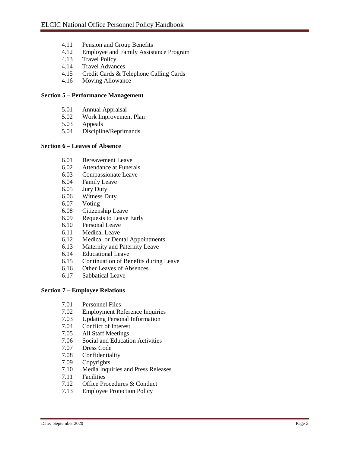- 4.11 Pension and Group Benefits
- 4.12 Employee and Family Assistance Program
- 4.13 Travel Policy
- 4.14 Travel Advances
- 4.15 Credit Cards & Telephone Calling Cards
- 4.16 Moving Allowance

#### **Section 5 – Performance Management**

- 5.01 Annual Appraisal
- 5.02 Work Improvement Plan
- 5.03 Appeals
- 5.04 Discipline/Reprimands

#### **Section 6 – Leaves of Absence**

- 6.01 Bereavement Leave
- 6.02 Attendance at Funerals
- 6.03 Compassionate Leave
- 6.04 Family Leave<br>6.05 Jury Duty
- Jury Duty
- 6.06 Witness Duty
- 6.07 Voting
- 6.08 Citizenship Leave
- 6.09 Requests to Leave Early
- 6.10 Personal Leave
- 6.11 Medical Leave
- 6.12 Medical or Dental Appointments
- 6.13 Maternity and Paternity Leave
- 6.14 Educational Leave
- 6.15 Continuation of Benefits during Leave
- 6.16 Other Leaves of Absences
- 6.17 Sabbatical Leave

#### **Section 7 – Employee Relations**

- 7.01 Personnel Files<br>7.02 Employment Re
- **Employment Reference Inquiries**
- 7.03 Updating Personal Information
- 7.04 Conflict of Interest
- 7.05 All Staff Meetings
- 7.06 Social and Education Activities<br>7.07 Dress Code
- Dress Code
- 7.08 Confidentiality
- 7.09 Copyrights
- 7.10 Media Inquiries and Press Releases<br>7.11 Facilities
- 7.11 Facilities<br>7.12 Office Pre
- Office Procedures & Conduct
- 7.13 Employee Protection Policy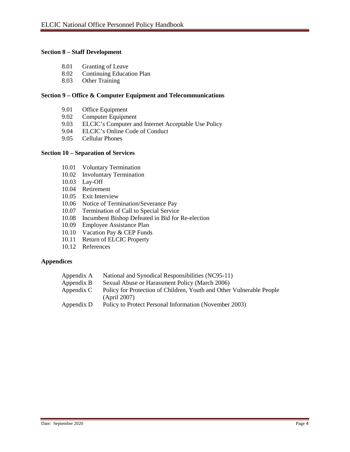#### **Section 8 – Staff Development**

- 8.01 Granting of Leave<br>8.02 Continuing Educat
- Continuing Education Plan
- 8.03 Other Training

#### **Section 9 – Office & Computer Equipment and Telecommunications**

- 9.01 Office Equipment<br>9.02 Computer Equipm
- Computer Equipment
- 9.03 ELCIC's Computer and Internet Acceptable Use Policy
- 9.04 ELCIC's Online Code of Conduct<br>9.05 Cellular Phones
- 9.05 Cellular Phones

#### **Section 10 – Separation of Services**

- 10.01 Voluntary Termination
- 10.02 Involuntary Termination
- 10.03 Lay-Off
- 10.04 Retirement
- 10.05 Exit Interview
- 10.06 Notice of Termination/Severance Pay
- 10.07 Termination of Call to Special Service
- 10.08 Incumbent Bishop Defeated in Bid for Re-election
- 10.09 Employee Assistance Plan
- 10.10 Vacation Pay & CEP Funds
- 10.11 Return of ELCIC Property
- 10.12 References

#### **Appendices**

| Appendix A | National and Synodical Responsibilities (NC95-11)                                    |
|------------|--------------------------------------------------------------------------------------|
| Appendix B | Sexual Abuse or Harassment Policy (March 2006)                                       |
| Appendix C | Policy for Protection of Children, Youth and Other Vulnerable People<br>(Apri1 2007) |
| Appendix D | Policy to Protect Personal Information (November 2003)                               |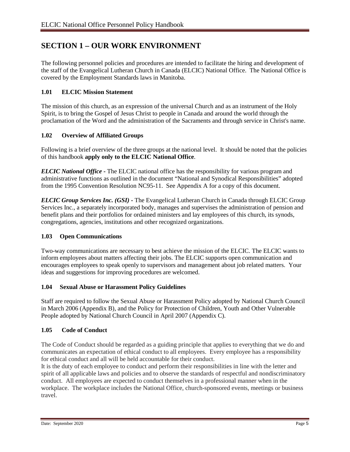## **SECTION 1 – OUR WORK ENVIRONMENT**

The following personnel policies and procedures are intended to facilitate the hiring and development of the staff of the Evangelical Lutheran Church in Canada (ELCIC) National Office. The National Office is covered by the Employment Standards laws in Manitoba.

#### **1.01 ELCIC Mission Statement**

The mission of this church, as an expression of the universal Church and as an instrument of the Holy Spirit, is to bring the Gospel of Jesus Christ to people in Canada and around the world through the proclamation of the Word and the administration of the Sacraments and through service in Christ's name.

#### **1.02 Overview of Affiliated Groups**

Following is a brief overview of the three groups at the national level. It should be noted that the policies of this handbook **apply only to the ELCIC National Office**.

*ELCIC National Office* **-** The ELCIC national office has the responsibility for various program and administrative functions as outlined in the document "National and Synodical Responsibilities" adopted from the 1995 Convention Resolution NC95-11. See Appendix A for a copy of this document.

*ELCIC Group Services Inc. (GSI)* **-** The Evangelical Lutheran Church in Canada through ELCIC Group Services Inc., a separately incorporated body, manages and supervises the administration of pension and benefit plans and their portfolios for ordained ministers and lay employees of this church, its synods, congregations, agencies, institutions and other recognized organizations.

#### **1.03 Open Communications**

Two-way communications are necessary to best achieve the mission of the ELCIC. The ELCIC wants to inform employees about matters affecting their jobs. The ELCIC supports open communication and encourages employees to speak openly to supervisors and management about job related matters. Your ideas and suggestions for improving procedures are welcomed.

#### **1.04 Sexual Abuse or Harassment Policy Guidelines**

Staff are required to follow the Sexual Abuse or Harassment Policy adopted by National Church Council in March 2006 (Appendix B), and the Policy for Protection of Children, Youth and Other Vulnerable People adopted by National Church Council in April 2007 (Appendix C).

#### **1.05 Code of Conduct**

The Code of Conduct should be regarded as a guiding principle that applies to everything that we do and communicates an expectation of ethical conduct to all employees. Every employee has a responsibility for ethical conduct and all will be held accountable for their conduct.

It is the duty of each employee to conduct and perform their responsibilities in line with the letter and spirit of all applicable laws and policies and to observe the standards of respectful and nondiscriminatory conduct. All employees are expected to conduct themselves in a professional manner when in the workplace. The workplace includes the National Office, church-sponsored events, meetings or business travel.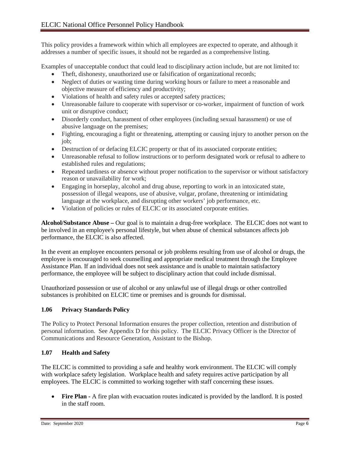This policy provides a framework within which all employees are expected to operate, and although it addresses a number of specific issues, it should not be regarded as a comprehensive listing.

Examples of unacceptable conduct that could lead to disciplinary action include, but are not limited to:

- Theft, dishonesty, unauthorized use or falsification of organizational records;
- Neglect of duties or wasting time during working hours or failure to meet a reasonable and objective measure of efficiency and productivity;
- Violations of health and safety rules or accepted safety practices;
- Unreasonable failure to cooperate with supervisor or co-worker, impairment of function of work unit or disruptive conduct;
- Disorderly conduct, harassment of other employees (including sexual harassment) or use of abusive language on the premises;
- Fighting, encouraging a fight or threatening, attempting or causing injury to another person on the job;
- Destruction of or defacing ELCIC property or that of its associated corporate entities;
- Unreasonable refusal to follow instructions or to perform designated work or refusal to adhere to established rules and regulations;
- Repeated tardiness or absence without proper notification to the supervisor or without satisfactory reason or unavailability for work;
- Engaging in horseplay, alcohol and drug abuse, reporting to work in an intoxicated state, possession of illegal weapons, use of abusive, vulgar, profane, threatening or intimidating language at the workplace, and disrupting other workers' job performance, etc.
- Violation of policies or rules of ELCIC or its associated corporate entities.

**Alcohol/Substance Abuse –** Our goal is to maintain a drug-free workplace. The ELCIC does not want to be involved in an employee's personal lifestyle, but when abuse of chemical substances affects job performance, the ELCIC is also affected.

In the event an employee encounters personal or job problems resulting from use of alcohol or drugs, the employee is encouraged to seek counselling and appropriate medical treatment through the Employee Assistance Plan. If an individual does not seek assistance and is unable to maintain satisfactory performance, the employee will be subject to disciplinary action that could include dismissal.

Unauthorized possession or use of alcohol or any unlawful use of illegal drugs or other controlled substances is prohibited on ELCIC time or premises and is grounds for dismissal.

#### **1.06 Privacy Standards Policy**

The Policy to Protect Personal Information ensures the proper collection, retention and distribution of personal information. See Appendix D for this policy. The ELCIC Privacy Officer is the Director of Communications and Resource Generation, Assistant to the Bishop.

#### **1.07 Health and Safety**

The ELCIC is committed to providing a safe and healthy work environment. The ELCIC will comply with workplace safety legislation. Workplace health and safety requires active participation by all employees. The ELCIC is committed to working together with staff concerning these issues.

• **Fire Plan -** A fire plan with evacuation routes indicated is provided by the landlord. It is posted in the staff room.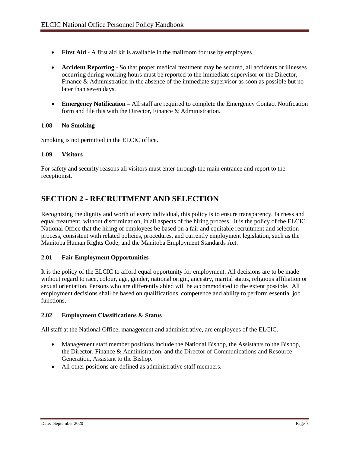- **First Aid -** A first aid kit is available in the mailroom for use by employees.
- **Accident Reporting -** So that proper medical treatment may be secured, all accidents or illnesses occurring during working hours must be reported to the immediate supervisor or the Director, Finance & Administration in the absence of the immediate supervisor as soon as possible but no later than seven days.
- **Emergency Notification** All staff are required to complete the Emergency Contact Notification form and file this with the Director, Finance & Administration.

#### **1.08 No Smoking**

Smoking is not permitted in the ELCIC office.

#### **1.09 Visitors**

For safety and security reasons all visitors must enter through the main entrance and report to the receptionist.

## **SECTION 2 - RECRUITMENT AND SELECTION**

Recognizing the dignity and worth of every individual, this policy is to ensure transparency, fairness and equal treatment, without discrimination, in all aspects of the hiring process. It is the policy of the ELCIC National Office that the hiring of employees be based on a fair and equitable recruitment and selection process, consistent with related policies, procedures, and currently employment legislation, such as the Manitoba Human Rights Code, and the Manitoba Employment Standards Act.

#### **2.01 Fair Employment Opportunities**

It is the policy of the ELCIC to afford equal opportunity for employment. All decisions are to be made without regard to race, colour, age, gender, national origin, ancestry, marital status, religious affiliation or sexual orientation. Persons who are differently abled will be accommodated to the extent possible. All employment decisions shall be based on qualifications, competence and ability to perform essential job functions.

#### **2.02 Employment Classifications & Status**

All staff at the National Office, management and administrative, are employees of the ELCIC.

- Management staff member positions include the National Bishop, the Assistants to the Bishop, the Director, Finance & Administration, and the Director of Communications and Resource Generation, Assistant to the Bishop.
- All other positions are defined as administrative staff members.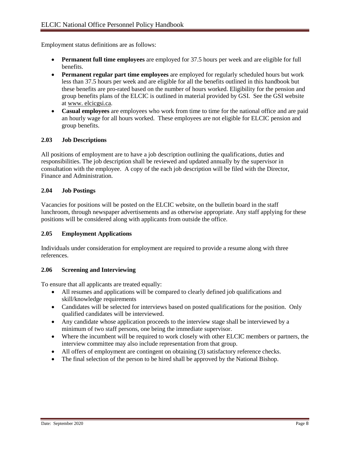Employment status definitions are as follows:

- **Permanent full time employees** are employed for 37.5 hours per week and are eligible for full benefits.
- **Permanent regular part time employees** are employed for regularly scheduled hours but work less than 37.5 hours per week and are eligible for all the benefits outlined in this handbook but these benefits are pro-rated based on the number of hours worked. Eligibility for the pension and group benefits plans of the ELCIC is outlined in material provided by GSI. See the GSI website at www. elcicgsi.ca.
- **Casual employees** are employees who work from time to time for the national office and are paid an hourly wage for all hours worked. These employees are not eligible for ELCIC pension and group benefits.

#### **2.03 Job Descriptions**

All positions of employment are to have a job description outlining the qualifications, duties and responsibilities. The job description shall be reviewed and updated annually by the supervisor in consultation with the employee. A copy of the each job description will be filed with the Director, Finance and Administration.

#### **2.04 Job Postings**

Vacancies for positions will be posted on the ELCIC website, on the bulletin board in the staff lunchroom, through newspaper advertisements and as otherwise appropriate. Any staff applying for these positions will be considered along with applicants from outside the office.

#### **2.05 Employment Applications**

Individuals under consideration for employment are required to provide a resume along with three references.

#### **2.06 Screening and Interviewing**

To ensure that all applicants are treated equally:

- All resumes and applications will be compared to clearly defined job qualifications and skill/knowledge requirements
- Candidates will be selected for interviews based on posted qualifications for the position. Only qualified candidates will be interviewed.
- Any candidate whose application proceeds to the interview stage shall be interviewed by a minimum of two staff persons, one being the immediate supervisor.
- Where the incumbent will be required to work closely with other ELCIC members or partners, the interview committee may also include representation from that group.
- All offers of employment are contingent on obtaining (3) satisfactory reference checks.
- The final selection of the person to be hired shall be approved by the National Bishop.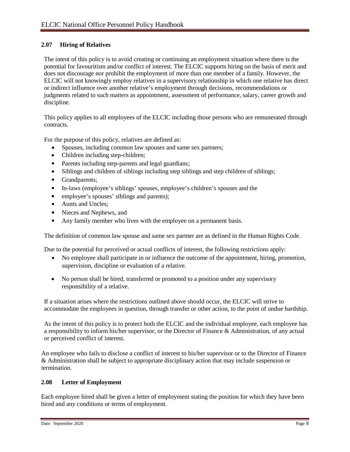#### **2.07 Hiring of Relatives**

The intent of this policy is to avoid creating or continuing an employment situation where there is the potential for favouritism and/or conflict of interest. The ELCIC supports hiring on the basis of merit and does not discourage nor prohibit the employment of more than one member of a family. However, the ELCIC will not knowingly employ relatives in a supervisory relationship in which one relative has direct or indirect influence over another relative's employment through decisions, recommendations or judgments related to such matters as appointment, assessment of performance, salary, career growth and discipline.

This policy applies to all employees of the ELCIC including those persons who are remunerated through contracts.

For the purpose of this policy, relatives are defined as:

- Spouses, including common law spouses and same sex partners;
- Children including step-children;
- Parents including step-parents and legal guardians;
- Siblings and children of siblings including step siblings and step children of siblings;
- Grandparents;
- In-laws (employee's siblings' spouses, employee's children's spouses and the
- employee's spouses' siblings and parents);
- Aunts and Uncles:
- Nieces and Nephews, and
- Any family member who lives with the employee on a permanent basis.

The definition of common law spouse and same sex partner are as defined in the Human Rights Code.

Due to the potential for perceived or actual conflicts of interest, the following restrictions apply:

- No employee shall participate in or influence the outcome of the appointment, hiring, promotion, supervision, discipline or evaluation of a relative.
- No person shall be hired, transferred or promoted to a position under any supervisory responsibility of a relative.

If a situation arises where the restrictions outlined above should occur, the ELCIC will strive to accommodate the employees in question, through transfer or other action, to the point of undue hardship.

As the intent of this policy is to protect both the ELCIC and the individual employee, each employee has a responsibility to inform his/her supervisor, or the Director of Finance & Administration, of any actual or perceived conflict of interest.

An employee who fails to disclose a conflict of interest to his/her supervisor or to the Director of Finance & Administration shall be subject to appropriate disciplinary action that may include suspension or termination.

#### **2.08 Letter of Employment**

Each employee hired shall be given a letter of employment stating the position for which they have been hired and any conditions or terms of employment.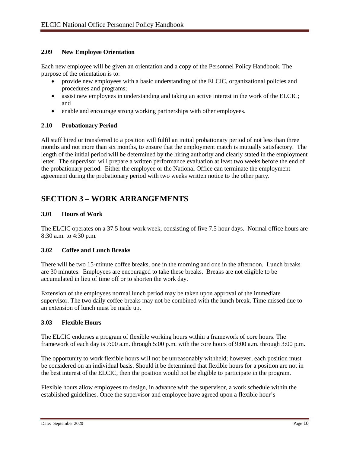#### **2.09 New Employee Orientation**

Each new employee will be given an orientation and a copy of the Personnel Policy Handbook. The purpose of the orientation is to:

- provide new employees with a basic understanding of the ELCIC, organizational policies and procedures and programs;
- assist new employees in understanding and taking an active interest in the work of the ELCIC; and
- enable and encourage strong working partnerships with other employees.

#### **2.10 Probationary Period**

All staff hired or transferred to a position will fulfil an initial probationary period of not less than three months and not more than six months, to ensure that the employment match is mutually satisfactory. The length of the initial period will be determined by the hiring authority and clearly stated in the employment letter. The supervisor will prepare a written performance evaluation at least two weeks before the end of the probationary period. Either the employee or the National Office can terminate the employment agreement during the probationary period with two weeks written notice to the other party.

## **SECTION 3 – WORK ARRANGEMENTS**

#### **3.01 Hours of Work**

The ELCIC operates on a 37.5 hour work week, consisting of five 7.5 hour days. Normal office hours are 8:30 a.m. to 4:30 p.m.

#### **3.02 Coffee and Lunch Breaks**

There will be two 15-minute coffee breaks, one in the morning and one in the afternoon. Lunch breaks are 30 minutes. Employees are encouraged to take these breaks. Breaks are not eligible to be accumulated in lieu of time off or to shorten the work day.

Extension of the employees normal lunch period may be taken upon approval of the immediate supervisor. The two daily coffee breaks may not be combined with the lunch break. Time missed due to an extension of lunch must be made up.

#### **3.03 Flexible Hours**

The ELCIC endorses a program of flexible working hours within a framework of core hours. The framework of each day is 7:00 a.m. through 5:00 p.m. with the core hours of 9:00 a.m. through 3:00 p.m.

The opportunity to work flexible hours will not be unreasonably withheld; however, each position must be considered on an individual basis. Should it be determined that flexible hours for a position are not in the best interest of the ELCIC, then the position would not be eligible to participate in the program.

Flexible hours allow employees to design, in advance with the supervisor, a work schedule within the established guidelines. Once the supervisor and employee have agreed upon a flexible hour's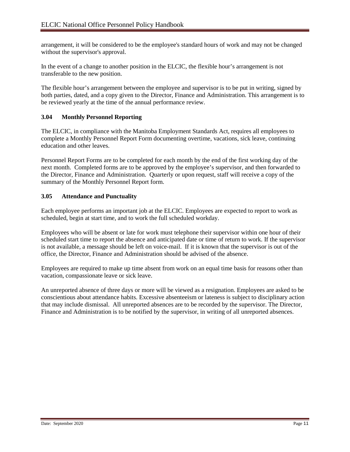arrangement, it will be considered to be the employee's standard hours of work and may not be changed without the supervisor's approval.

In the event of a change to another position in the ELCIC, the flexible hour's arrangement is not transferable to the new position.

The flexible hour's arrangement between the employee and supervisor is to be put in writing, signed by both parties, dated, and a copy given to the Director, Finance and Administration. This arrangement is to be reviewed yearly at the time of the annual performance review.

#### **3.04 Monthly Personnel Reporting**

The ELCIC, in compliance with the Manitoba Employment Standards Act, requires all employees to complete a Monthly Personnel Report Form documenting overtime, vacations, sick leave, continuing education and other leaves.

Personnel Report Forms are to be completed for each month by the end of the first working day of the next month. Completed forms are to be approved by the employee's supervisor, and then forwarded to the Director, Finance and Administration. Quarterly or upon request, staff will receive a copy of the summary of the Monthly Personnel Report form.

#### **3.05 Attendance and Punctuality**

Each employee performs an important job at the ELCIC. Employees are expected to report to work as scheduled, begin at start time, and to work the full scheduled workday.

Employees who will be absent or late for work must telephone their supervisor within one hour of their scheduled start time to report the absence and anticipated date or time of return to work. If the supervisor is not available, a message should be left on voice-mail. If it is known that the supervisor is out of the office, the Director, Finance and Administration should be advised of the absence.

Employees are required to make up time absent from work on an equal time basis for reasons other than vacation, compassionate leave or sick leave.

An unreported absence of three days or more will be viewed as a resignation. Employees are asked to be conscientious about attendance habits. Excessive absenteeism or lateness is subject to disciplinary action that may include dismissal. All unreported absences are to be recorded by the supervisor. The Director, Finance and Administration is to be notified by the supervisor, in writing of all unreported absences.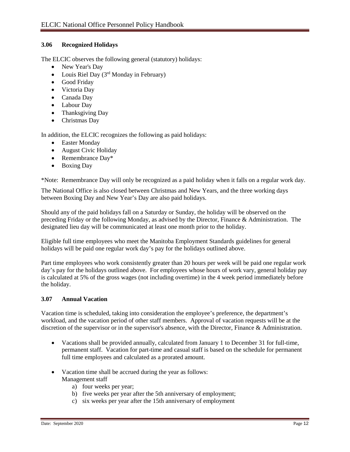#### **3.06 Recognized Holidays**

The ELCIC observes the following general (statutory) holidays:

- New Year's Day
- Louis Riel Day  $(3<sup>rd</sup>$  Monday in February)
- Good Friday
- Victoria Day
- Canada Day
- Labour Day
- Thanksgiving Day
- Christmas Day

In addition, the ELCIC recognizes the following as paid holidays:

- Easter Monday
- August Civic Holiday
- Remembrance Day\*
- Boxing Day

\*Note: Remembrance Day will only be recognized as a paid holiday when it falls on a regular work day.

The National Office is also closed between Christmas and New Years, and the three working days between Boxing Day and New Year's Day are also paid holidays.

Should any of the paid holidays fall on a Saturday or Sunday, the holiday will be observed on the preceding Friday or the following Monday, as advised by the Director, Finance & Administration. The designated lieu day will be communicated at least one month prior to the holiday.

Eligible full time employees who meet the Manitoba Employment Standards guidelines for general holidays will be paid one regular work day's pay for the holidays outlined above.

Part time employees who work consistently greater than 20 hours per week will be paid one regular work day's pay for the holidays outlined above. For employees whose hours of work vary, general holiday pay is calculated at 5% of the gross wages (not including overtime) in the 4 week period immediately before the holiday.

#### **3.07 Annual Vacation**

Vacation time is scheduled, taking into consideration the employee's preference, the department's workload, and the vacation period of other staff members. Approval of vacation requests will be at the discretion of the supervisor or in the supervisor's absence, with the Director, Finance & Administration.

- Vacations shall be provided annually, calculated from January 1 to December 31 for full-time, permanent staff. Vacation for part-time and casual staff is based on the schedule for permanent full time employees and calculated as a prorated amount.
- Vacation time shall be accrued during the year as follows: Management staff
	- a) four weeks per year;
	- b) five weeks per year after the 5th anniversary of employment;
	- c) six weeks per year after the 15th anniversary of employment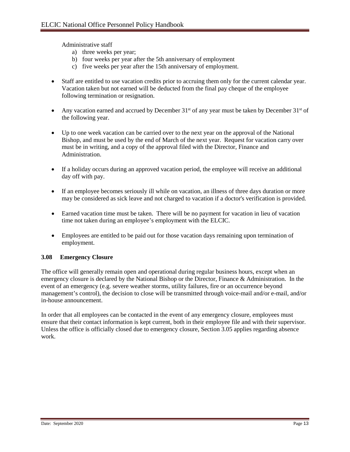Administrative staff

- a) three weeks per year;
- b) four weeks per year after the 5th anniversary of employment
- c) five weeks per year after the 15th anniversary of employment.
- Staff are entitled to use vacation credits prior to accruing them only for the current calendar year. Vacation taken but not earned will be deducted from the final pay cheque of the employee following termination or resignation.
- Any vacation earned and accrued by December  $31<sup>st</sup>$  of any year must be taken by December  $31<sup>st</sup>$  of the following year.
- Up to one week vacation can be carried over to the next year on the approval of the National Bishop, and must be used by the end of March of the next year. Request for vacation carry over must be in writing, and a copy of the approval filed with the Director, Finance and Administration.
- If a holiday occurs during an approved vacation period, the employee will receive an additional day off with pay.
- If an employee becomes seriously ill while on vacation, an illness of three days duration or more may be considered as sick leave and not charged to vacation if a doctor's verification is provided.
- Earned vacation time must be taken. There will be no payment for vacation in lieu of vacation time not taken during an employee's employment with the ELCIC.
- Employees are entitled to be paid out for those vacation days remaining upon termination of employment.

#### **3.08 Emergency Closure**

The office will generally remain open and operational during regular business hours, except when an emergency closure is declared by the National Bishop or the Director, Finance & Administration. In the event of an emergency (e.g. severe weather storms, utility failures, fire or an occurrence beyond management's control), the decision to close will be transmitted through voice-mail and/or e-mail, and/or in-house announcement.

In order that all employees can be contacted in the event of any emergency closure, employees must ensure that their contact information is kept current, both in their employee file and with their supervisor. Unless the office is officially closed due to emergency closure, Section 3.05 applies regarding absence work.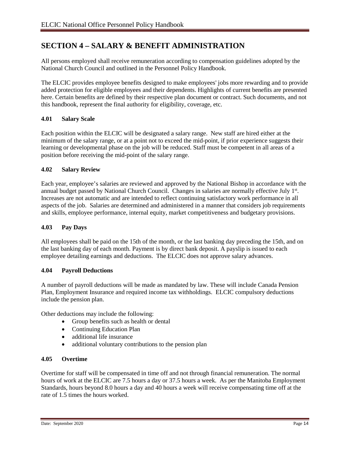## **SECTION 4 – SALARY & BENEFIT ADMINISTRATION**

All persons employed shall receive remuneration according to compensation guidelines adopted by the National Church Council and outlined in the Personnel Policy Handbook.

The ELCIC provides employee benefits designed to make employees' jobs more rewarding and to provide added protection for eligible employees and their dependents. Highlights of current benefits are presented here. Certain benefits are defined by their respective plan document or contract. Such documents, and not this handbook, represent the final authority for eligibility, coverage, etc.

#### **4.01 Salary Scale**

Each position within the ELCIC will be designated a salary range. New staff are hired either at the minimum of the salary range, or at a point not to exceed the mid-point, if prior experience suggests their learning or developmental phase on the job will be reduced. Staff must be competent in all areas of a position before receiving the mid-point of the salary range.

#### **4.02 Salary Review**

Each year, employee's salaries are reviewed and approved by the National Bishop in accordance with the annual budget passed by National Church Council. Changes in salaries are normally effective July 1st. Increases are not automatic and are intended to reflect continuing satisfactory work performance in all aspects of the job. Salaries are determined and administered in a manner that considers job requirements and skills, employee performance, internal equity, market competitiveness and budgetary provisions.

#### **4.03 Pay Days**

All employees shall be paid on the 15th of the month, or the last banking day preceding the 15th, and on the last banking day of each month. Payment is by direct bank deposit. A payslip is issued to each employee detailing earnings and deductions. The ELCIC does not approve salary advances.

#### **4.04 Payroll Deductions**

A number of payroll deductions will be made as mandated by law. These will include Canada Pension Plan, Employment Insurance and required income tax withholdings. ELCIC compulsory deductions include the pension plan.

Other deductions may include the following:

- Group benefits such as health or dental
- Continuing Education Plan
- additional life insurance
- additional voluntary contributions to the pension plan

#### **4.05 Overtime**

Overtime for staff will be compensated in time off and not through financial remuneration. The normal hours of work at the ELCIC are 7.5 hours a day or 37.5 hours a week. As per the Manitoba Employment Standards, hours beyond 8.0 hours a day and 40 hours a week will receive compensating time off at the rate of 1.5 times the hours worked.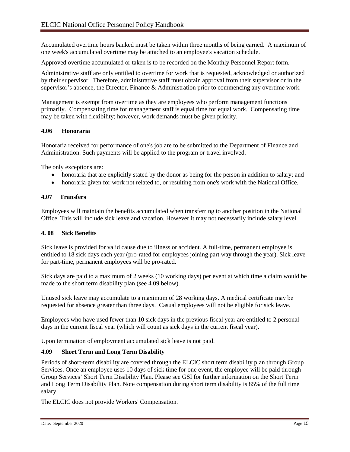Accumulated overtime hours banked must be taken within three months of being earned. A maximum of one week's accumulated overtime may be attached to an employee's vacation schedule.

Approved overtime accumulated or taken is to be recorded on the Monthly Personnel Report form.

Administrative staff are only entitled to overtime for work that is requested, acknowledged or authorized by their supervisor. Therefore, administrative staff must obtain approval from their supervisor or in the supervisor's absence, the Director, Finance & Administration prior to commencing any overtime work.

Management is exempt from overtime as they are employees who perform management functions primarily. Compensating time for management staff is equal time for equal work. Compensating time may be taken with flexibility; however, work demands must be given priority.

#### **4.06 Honoraria**

Honoraria received for performance of one's job are to be submitted to the Department of Finance and Administration. Such payments will be applied to the program or travel involved.

The only exceptions are:

- honoraria that are explicitly stated by the donor as being for the person in addition to salary; and
- honoraria given for work not related to, or resulting from one's work with the National Office.

#### **4.07 Transfers**

Employees will maintain the benefits accumulated when transferring to another position in the National Office. This will include sick leave and vacation. However it may not necessarily include salary level.

#### **4. 08 Sick Benefits**

Sick leave is provided for valid cause due to illness or accident. A full-time, permanent employee is entitled to 18 sick days each year (pro-rated for employees joining part way through the year). Sick leave for part-time, permanent employees will be pro-rated.

Sick days are paid to a maximum of 2 weeks (10 working days) per event at which time a claim would be made to the short term disability plan (see 4.09 below).

Unused sick leave may accumulate to a maximum of 28 working days. A medical certificate may be requested for absence greater than three days. Casual employees will not be eligible for sick leave.

Employees who have used fewer than 10 sick days in the previous fiscal year are entitled to 2 personal days in the current fiscal year (which will count as sick days in the current fiscal year).

Upon termination of employment accumulated sick leave is not paid.

#### **4.09 Short Term and Long Term Disability**

Periods of short-term disability are covered through the ELCIC short term disability plan through Group Services. Once an employee uses 10 days of sick time for one event, the employee will be paid through Group Services' Short Term Disability Plan. Please see GSI for further information on the Short Term and Long Term Disability Plan. Note compensation during short term disability is 85% of the full time salary.

The ELCIC does not provide Workers' Compensation.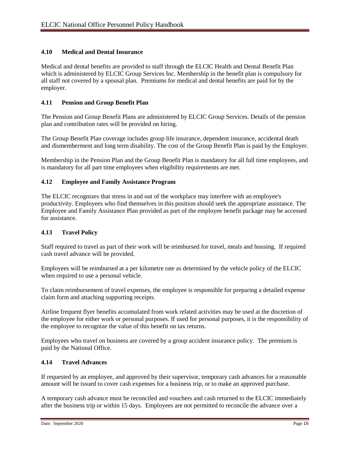#### **4.10 Medical and Dental Insurance**

Medical and dental benefits are provided to staff through the ELCIC Health and Dental Benefit Plan which is administered by ELCIC Group Services Inc. Membership in the benefit plan is compulsory for all staff not covered by a spousal plan. Premiums for medical and dental benefits are paid for by the employer.

#### **4.11 Pension and Group Benefit Plan**

The Pension and Group Benefit Plans are administered by ELCIC Group Services. Details of the pension plan and contribution rates will be provided on hiring.

The Group Benefit Plan coverage includes group life insurance, dependent insurance, accidental death and dismemberment and long term disability. The cost of the Group Benefit Plan is paid by the Employer.

Membership in the Pension Plan and the Group Benefit Plan is mandatory for all full time employees, and is mandatory for all part time employees when eligibility requirements are met.

#### **4.12 Employee and Family Assistance Program**

The ELCIC recognizes that stress in and out of the workplace may interfere with an employee's productivity. Employees who find themselves in this position should seek the appropriate assistance. The Employee and Family Assistance Plan provided as part of the employee benefit package may be accessed for assistance.

#### **4.13 Travel Policy**

Staff required to travel as part of their work will be reimbursed for travel, meals and housing. If required cash travel advance will be provided.

Employees will be reimbursed at a per kilometre rate as determined by the vehicle policy of the ELCIC when required to use a personal vehicle.

To claim reimbursement of travel expenses, the employee is responsible for preparing a detailed expense claim form and attaching supporting receipts.

Airline frequent flyer benefits accumulated from work related activities may be used at the discretion of the employee for either work or personal purposes. If used for personal purposes, it is the responsibility of the employee to recognize the value of this benefit on tax returns.

Employees who travel on business are covered by a group accident insurance policy. The premium is paid by the National Office.

#### **4.14 Travel Advances**

If requested by an employee, and approved by their supervisor, temporary cash advances for a reasonable amount will be issued to cover cash expenses for a business trip, or to make an approved purchase.

A temporary cash advance must be reconciled and vouchers and cash returned to the ELCIC immediately after the business trip or within 15 days. Employees are not permitted to reconcile the advance over a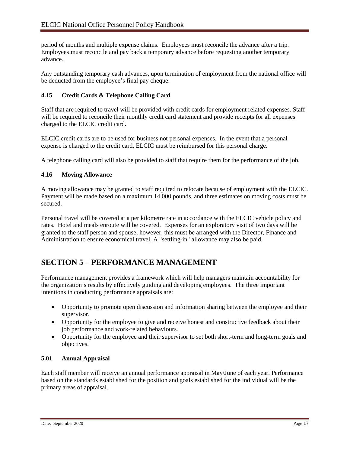period of months and multiple expense claims. Employees must reconcile the advance after a trip. Employees must reconcile and pay back a temporary advance before requesting another temporary advance.

Any outstanding temporary cash advances, upon termination of employment from the national office will be deducted from the employee's final pay cheque.

#### **4.15 Credit Cards & Telephone Calling Card**

Staff that are required to travel will be provided with credit cards for employment related expenses. Staff will be required to reconcile their monthly credit card statement and provide receipts for all expenses charged to the ELCIC credit card.

ELCIC credit cards are to be used for business not personal expenses. In the event that a personal expense is charged to the credit card, ELCIC must be reimbursed for this personal charge.

A telephone calling card will also be provided to staff that require them for the performance of the job.

#### **4.16 Moving Allowance**

A moving allowance may be granted to staff required to relocate because of employment with the ELCIC. Payment will be made based on a maximum 14,000 pounds, and three estimates on moving costs must be secured.

Personal travel will be covered at a per kilometre rate in accordance with the ELCIC vehicle policy and rates. Hotel and meals enroute will be covered. Expenses for an exploratory visit of two days will be granted to the staff person and spouse; however, this must be arranged with the Director, Finance and Administration to ensure economical travel. A "settling-in" allowance may also be paid.

## **SECTION 5 – PERFORMANCE MANAGEMENT**

Performance management provides a framework which will help managers maintain accountability for the organization's results by effectively guiding and developing employees. The three important intentions in conducting performance appraisals are:

- Opportunity to promote open discussion and information sharing between the employee and their supervisor.
- Opportunity for the employee to give and receive honest and constructive feedback about their job performance and work-related behaviours.
- Opportunity for the employee and their supervisor to set both short-term and long-term goals and objectives.

#### **5.01 Annual Appraisal**

Each staff member will receive an annual performance appraisal in May/June of each year. Performance based on the standards established for the position and goals established for the individual will be the primary areas of appraisal.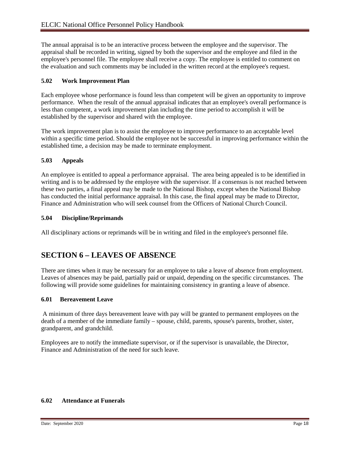The annual appraisal is to be an interactive process between the employee and the supervisor. The appraisal shall be recorded in writing, signed by both the supervisor and the employee and filed in the employee's personnel file. The employee shall receive a copy. The employee is entitled to comment on the evaluation and such comments may be included in the written record at the employee's request.

#### **5.02 Work Improvement Plan**

Each employee whose performance is found less than competent will be given an opportunity to improve performance. When the result of the annual appraisal indicates that an employee's overall performance is less than competent, a work improvement plan including the time period to accomplish it will be established by the supervisor and shared with the employee.

The work improvement plan is to assist the employee to improve performance to an acceptable level within a specific time period. Should the employee not be successful in improving performance within the established time, a decision may be made to terminate employment.

#### **5.03 Appeals**

An employee is entitled to appeal a performance appraisal. The area being appealed is to be identified in writing and is to be addressed by the employee with the supervisor. If a consensus is not reached between these two parties, a final appeal may be made to the National Bishop, except when the National Bishop has conducted the initial performance appraisal. In this case, the final appeal may be made to Director, Finance and Administration who will seek counsel from the Officers of National Church Council.

#### **5.04 Discipline/Reprimands**

All disciplinary actions or reprimands will be in writing and filed in the employee's personnel file.

## **SECTION 6 – LEAVES OF ABSENCE**

There are times when it may be necessary for an employee to take a leave of absence from employment. Leaves of absences may be paid, partially paid or unpaid, depending on the specific circumstances. The following will provide some guidelines for maintaining consistency in granting a leave of absence.

#### **6.01 Bereavement Leave**

A minimum of three days bereavement leave with pay will be granted to permanent employees on the death of a member of the immediate family – spouse, child, parents, spouse's parents, brother, sister, grandparent, and grandchild.

Employees are to notify the immediate supervisor, or if the supervisor is unavailable, the Director, Finance and Administration of the need for such leave.

#### **6.02 Attendance at Funerals**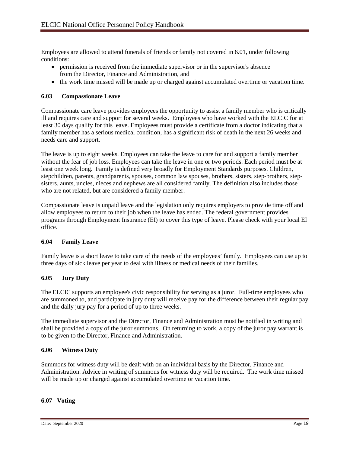Employees are allowed to attend funerals of friends or family not covered in 6.01, under following conditions:

- permission is received from the immediate supervisor or in the supervisor's absence from the Director, Finance and Administration, and
- the work time missed will be made up or charged against accumulated overtime or vacation time.

#### **6.03 Compassionate Leave**

Compassionate care leave provides employees the opportunity to assist a family member who is critically ill and requires care and support for several weeks. Employees who have worked with the ELCIC for at least 30 days qualify for this leave. Employees must provide a certificate from a doctor indicating that a family member has a serious medical condition, has a significant risk of death in the next 26 weeks and needs care and support.

The leave is up to eight weeks. Employees can take the leave to care for and support a family member without the fear of job loss. Employees can take the leave in one or two periods. Each period must be at least one week long. Family is defined very broadly for Employment Standards purposes. Children, stepchildren, parents, grandparents, spouses, common law spouses, brothers, sisters, step-brothers, stepsisters, aunts, uncles, nieces and nephews are all considered family. The definition also includes those who are not related, but are considered a family member.

Compassionate leave is unpaid leave and the legislation only requires employers to provide time off and allow employees to return to their job when the leave has ended. The federal government provides programs through Employment Insurance (EI) to cover this type of leave. Please check with your local EI office.

#### **6.04 Family Leave**

Family leave is a short leave to take care of the needs of the employees' family. Employees can use up to three days of sick leave per year to deal with illness or medical needs of their families.

#### **6.05 Jury Duty**

The ELCIC supports an employee's civic responsibility for serving as a juror. Full-time employees who are summoned to, and participate in jury duty will receive pay for the difference between their regular pay and the daily jury pay for a period of up to three weeks.

The immediate supervisor and the Director, Finance and Administration must be notified in writing and shall be provided a copy of the juror summons. On returning to work, a copy of the juror pay warrant is to be given to the Director, Finance and Administration.

#### **6.06 Witness Duty**

Summons for witness duty will be dealt with on an individual basis by the Director, Finance and Administration. Advice in writing of summons for witness duty will be required. The work time missed will be made up or charged against accumulated overtime or vacation time.

#### **6.07 Voting**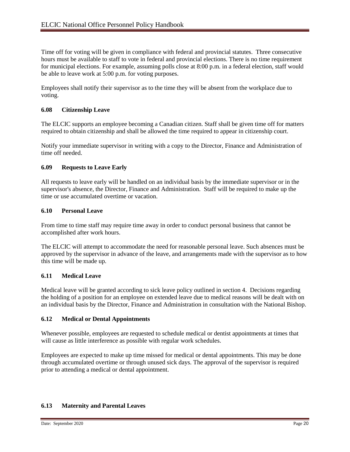Time off for voting will be given in compliance with federal and provincial statutes. Three consecutive hours must be available to staff to vote in federal and provincial elections. There is no time requirement for municipal elections. For example, assuming polls close at 8:00 p.m. in a federal election, staff would be able to leave work at 5:00 p.m. for voting purposes.

Employees shall notify their supervisor as to the time they will be absent from the workplace due to voting.

#### **6.08 Citizenship Leave**

The ELCIC supports an employee becoming a Canadian citizen. Staff shall be given time off for matters required to obtain citizenship and shall be allowed the time required to appear in citizenship court.

Notify your immediate supervisor in writing with a copy to the Director, Finance and Administration of time off needed.

#### **6.09 Requests to Leave Early**

All requests to leave early will be handled on an individual basis by the immediate supervisor or in the supervisor's absence, the Director, Finance and Administration. Staff will be required to make up the time or use accumulated overtime or vacation.

#### **6.10 Personal Leave**

From time to time staff may require time away in order to conduct personal business that cannot be accomplished after work hours.

The ELCIC will attempt to accommodate the need for reasonable personal leave. Such absences must be approved by the supervisor in advance of the leave, and arrangements made with the supervisor as to how this time will be made up.

#### **6.11 Medical Leave**

Medical leave will be granted according to sick leave policy outlined in section 4. Decisions regarding the holding of a position for an employee on extended leave due to medical reasons will be dealt with on an individual basis by the Director, Finance and Administration in consultation with the National Bishop.

#### **6.12 Medical or Dental Appointments**

Whenever possible, employees are requested to schedule medical or dentist appointments at times that will cause as little interference as possible with regular work schedules.

Employees are expected to make up time missed for medical or dental appointments. This may be done through accumulated overtime or through unused sick days. The approval of the supervisor is required prior to attending a medical or dental appointment.

#### **6.13 Maternity and Parental Leaves**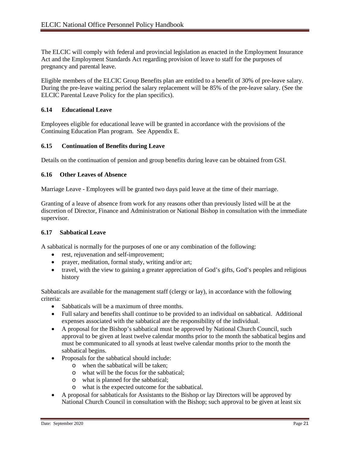The ELCIC will comply with federal and provincial legislation as enacted in the Employment Insurance Act and the Employment Standards Act regarding provision of leave to staff for the purposes of pregnancy and parental leave.

Eligible members of the ELCIC Group Benefits plan are entitled to a benefit of 30% of pre-leave salary. During the pre-leave waiting period the salary replacement will be 85% of the pre-leave salary. (See the ELCIC Parental Leave Policy for the plan specifics).

#### **6.14 Educational Leave**

Employees eligible for educational leave will be granted in accordance with the provisions of the Continuing Education Plan program. See Appendix E.

#### **6.15 Continuation of Benefits during Leave**

Details on the continuation of pension and group benefits during leave can be obtained from GSI.

#### **6.16 Other Leaves of Absence**

Marriage Leave - Employees will be granted two days paid leave at the time of their marriage.

Granting of a leave of absence from work for any reasons other than previously listed will be at the discretion of Director, Finance and Administration or National Bishop in consultation with the immediate supervisor.

#### **6.17 Sabbatical Leave**

A sabbatical is normally for the purposes of one or any combination of the following:

- rest, rejuvenation and self-improvement;
- prayer, meditation, formal study, writing and/or art;
- travel, with the view to gaining a greater appreciation of God's gifts, God's peoples and religious history

Sabbaticals are available for the management staff (clergy or lay), in accordance with the following criteria:

- Sabbaticals will be a maximum of three months.
- Full salary and benefits shall continue to be provided to an individual on sabbatical. Additional expenses associated with the sabbatical are the responsibility of the individual.
- A proposal for the Bishop's sabbatical must be approved by National Church Council, such approval to be given at least twelve calendar months prior to the month the sabbatical begins and must be communicated to all synods at least twelve calendar months prior to the month the sabbatical begins.
- Proposals for the sabbatical should include:
	- o when the sabbatical will be taken;
	- o what will be the focus for the sabbatical;
	- o what is planned for the sabbatical;
	- o what is the expected outcome for the sabbatical.
- A proposal for sabbaticals for Assistants to the Bishop or lay Directors will be approved by National Church Council in consultation with the Bishop; such approval to be given at least six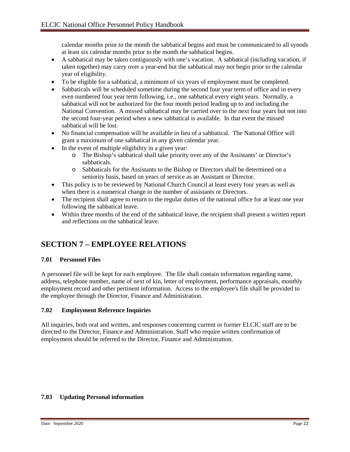calendar months prior to the month the sabbatical begins and must be communicated to all synods at least six calendar months prior to the month the sabbatical begins.

- A sabbatical may be taken contiguously with one's vacation. A sabbatical (including vacation, if taken together) may carry over a year-end but the sabbatical may not begin prior to the calendar year of eligibility.
- To be eligible for a sabbatical, a minimum of six years of employment must be completed.
- Sabbaticals will be scheduled sometime during the second four year term of office and in every even numbered four year term following, i.e., one sabbatical every eight years. Normally, a sabbatical will not be authorized for the four month period leading up to and including the National Convention. A missed sabbatical may be carried over to the next four years but not into the second four-year period when a new sabbatical is available. In that event the missed sabbatical will be lost.
- No financial compensation will be available in lieu of a sabbatical. The National Office will grant a maximum of one sabbatical in any given calendar year.
- In the event of multiple eligibility in a given year:
	- o The Bishop's sabbatical shall take priority over any of the Assistants' or Director's sabbaticals.
	- o Sabbaticals for the Assistants to the Bishop or Directors shall be determined on a seniority basis, based on years of service as an Assistant or Director.
- This policy is to be reviewed by National Church Council at least every four years as well as when there is a numerical change in the number of assistants or Directors.
- The recipient shall agree to return to the regular duties of the national office for at least one year following the sabbatical leave.
- Within three months of the end of the sabbatical leave, the recipient shall present a written report and reflections on the sabbatical leave.

## **SECTION 7 – EMPLOYEE RELATIONS**

#### **7.01 Personnel Files**

A personnel file will be kept for each employee. The file shall contain information regarding name, address, telephone number, name of next of kin, letter of employment, performance appraisals, monthly employment record and other pertinent information. Access to the employee's file shall be provided to the employee through the Director, Finance and Administration.

#### **7.02 Employment Reference Inquiries**

All inquiries, both oral and written, and responses concerning current or former ELCIC staff are to be directed to the Director, Finance and Administration. Staff who require written confirmation of employment should be referred to the Director, Finance and Administration.

#### **7.03 Updating Personal information**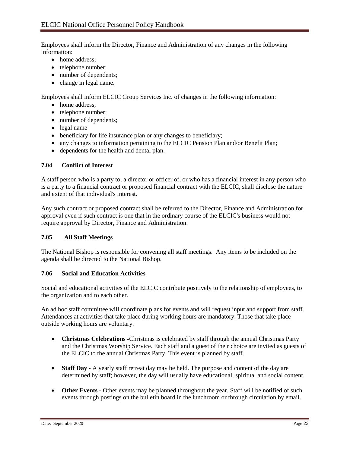Employees shall inform the Director, Finance and Administration of any changes in the following information:

- home address;
- telephone number;
- number of dependents;
- change in legal name.

Employees shall inform ELCIC Group Services Inc. of changes in the following information:

- home address;
- telephone number;
- number of dependents;
- legal name
- beneficiary for life insurance plan or any changes to beneficiary;
- any changes to information pertaining to the ELCIC Pension Plan and/or Benefit Plan;
- dependents for the health and dental plan.

#### **7.04 Conflict of Interest**

A staff person who is a party to, a director or officer of, or who has a financial interest in any person who is a party to a financial contract or proposed financial contract with the ELCIC, shall disclose the nature and extent of that individual's interest.

Any such contract or proposed contract shall be referred to the Director, Finance and Administration for approval even if such contract is one that in the ordinary course of the ELCIC's business would not require approval by Director, Finance and Administration.

#### **7.05 All Staff Meetings**

The National Bishop is responsible for convening all staff meetings. Any items to be included on the agenda shall be directed to the National Bishop.

#### **7.06 Social and Education Activities**

Social and educational activities of the ELCIC contribute positively to the relationship of employees, to the organization and to each other.

An ad hoc staff committee will coordinate plans for events and will request input and support from staff. Attendances at activities that take place during working hours are mandatory. Those that take place outside working hours are voluntary.

- **Christmas Celebrations -**Christmas is celebrated by staff through the annual Christmas Party and the Christmas Worship Service. Each staff and a guest of their choice are invited as guests of the ELCIC to the annual Christmas Party. This event is planned by staff.
- **Staff Day -** A yearly staff retreat day may be held. The purpose and content of the day are determined by staff; however, the day will usually have educational, spiritual and social content.
- **Other Events -** Other events may be planned throughout the year. Staff will be notified of such events through postings on the bulletin board in the lunchroom or through circulation by email.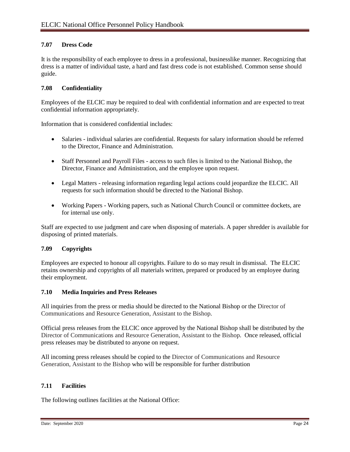#### **7.07 Dress Code**

It is the responsibility of each employee to dress in a professional, businesslike manner. Recognizing that dress is a matter of individual taste, a hard and fast dress code is not established. Common sense should guide.

#### **7.08 Confidentiality**

Employees of the ELCIC may be required to deal with confidential information and are expected to treat confidential information appropriately.

Information that is considered confidential includes:

- Salaries individual salaries are confidential. Requests for salary information should be referred to the Director, Finance and Administration.
- Staff Personnel and Payroll Files access to such files is limited to the National Bishop, the Director, Finance and Administration, and the employee upon request.
- Legal Matters releasing information regarding legal actions could jeopardize the ELCIC. All requests for such information should be directed to the National Bishop.
- Working Papers Working papers, such as National Church Council or committee dockets, are for internal use only.

Staff are expected to use judgment and care when disposing of materials. A paper shredder is available for disposing of printed materials.

#### **7.09 Copyrights**

Employees are expected to honour all copyrights. Failure to do so may result in dismissal. The ELCIC retains ownership and copyrights of all materials written, prepared or produced by an employee during their employment.

#### **7.10 Media Inquiries and Press Releases**

All inquiries from the press or media should be directed to the National Bishop or the Director of Communications and Resource Generation, Assistant to the Bishop.

Official press releases from the ELCIC once approved by the National Bishop shall be distributed by the Director of Communications and Resource Generation, Assistant to the Bishop. Once released, official press releases may be distributed to anyone on request.

All incoming press releases should be copied to the Director of Communications and Resource Generation, Assistant to the Bishop who will be responsible for further distribution

#### **7.11 Facilities**

The following outlines facilities at the National Office: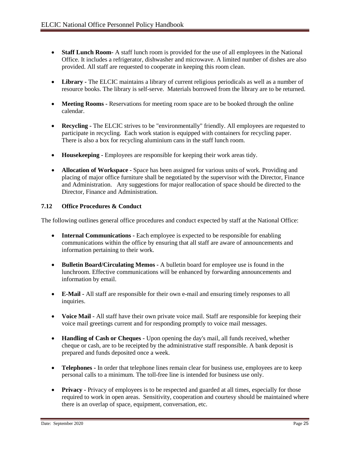- **Staff Lunch Room-** A staff lunch room is provided for the use of all employees in the National Office. It includes a refrigerator, dishwasher and microwave. A limited number of dishes are also provided. All staff are requested to cooperate in keeping this room clean.
- **Library -** The ELCIC maintains a library of current religious periodicals as well as a number of resource books. The library is self-serve. Materials borrowed from the library are to be returned.
- **Meeting Rooms** Reservations for meeting room space are to be booked through the online calendar.
- **Recycling** The ELCIC strives to be "environmentally" friendly. All employees are requested to participate in recycling. Each work station is equipped with containers for recycling paper. There is also a box for recycling aluminium cans in the staff lunch room.
- **Housekeeping -** Employees are responsible for keeping their work areas tidy.
- **Allocation of Workspace -** Space has been assigned for various units of work. Providing and placing of major office furniture shall be negotiated by the supervisor with the Director, Finance and Administration. Any suggestions for major reallocation of space should be directed to the Director, Finance and Administration.

#### **7.12 Office Procedures & Conduct**

The following outlines general office procedures and conduct expected by staff at the National Office:

- **Internal Communications** Each employee is expected to be responsible for enabling communications within the office by ensuring that all staff are aware of announcements and information pertaining to their work.
- **Bulletin Board/Circulating Memos -** A bulletin board for employee use is found in the lunchroom. Effective communications will be enhanced by forwarding announcements and information by email.
- **E-Mail -** All staff are responsible for their own e-mail and ensuring timely responses to all inquiries.
- **Voice Mail -** All staff have their own private voice mail. Staff are responsible for keeping their voice mail greetings current and for responding promptly to voice mail messages.
- **Handling of Cash or Cheques -** Upon opening the day's mail, all funds received, whether cheque or cash, are to be receipted by the administrative staff responsible. A bank deposit is prepared and funds deposited once a week.
- **Telephones -** In order that telephone lines remain clear for business use, employees are to keep personal calls to a minimum. The toll-free line is intended for business use only.
- **Privacy -** Privacy of employees is to be respected and guarded at all times, especially for those required to work in open areas. Sensitivity, cooperation and courtesy should be maintained where there is an overlap of space, equipment, conversation, etc.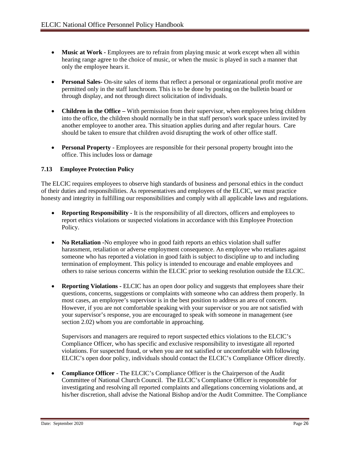- **Music at Work -** Employees are to refrain from playing music at work except when all within hearing range agree to the choice of music, or when the music is played in such a manner that only the employee hears it.
- **Personal Sales-** On-site sales of items that reflect a personal or organizational profit motive are permitted only in the staff lunchroom. This is to be done by posting on the bulletin board or through display, and not through direct solicitation of individuals.
- **Children in the Office** With permission from their supervisor, when employees bring children into the office, the children should normally be in that staff person's work space unless invited by another employee to another area. This situation applies during and after regular hours. Care should be taken to ensure that children avoid disrupting the work of other office staff.
- **Personal Property -** Employees are responsible for their personal property brought into the office. This includes loss or damage

#### **7.13 Employee Protection Policy**

The ELCIC requires employees to observe high standards of business and personal ethics in the conduct of their duties and responsibilities. As representatives and employees of the ELCIC, we must practice honesty and integrity in fulfilling our responsibilities and comply with all applicable laws and regulations.

- **Reporting Responsibility -** It is the responsibility of all directors, officers and employees to report ethics violations or suspected violations in accordance with this Employee Protection Policy.
- **No Retaliation -**No employee who in good faith reports an ethics violation shall suffer harassment, retaliation or adverse employment consequence. An employee who retaliates against someone who has reported a violation in good faith is subject to discipline up to and including termination of employment. This policy is intended to encourage and enable employees and others to raise serious concerns within the ELCIC prior to seeking resolution outside the ELCIC.
- **Reporting Violations -** ELCIC has an open door policy and suggests that employees share their questions, concerns, suggestions or complaints with someone who can address them properly. In most cases, an employee's supervisor is in the best position to address an area of concern. However, if you are not comfortable speaking with your supervisor or you are not satisfied with your supervisor's response, you are encouraged to speak with someone in management (see section 2.02) whom you are comfortable in approaching.

Supervisors and managers are required to report suspected ethics violations to the ELCIC's Compliance Officer, who has specific and exclusive responsibility to investigate all reported violations. For suspected fraud, or when you are not satisfied or uncomfortable with following ELCIC's open door policy, individuals should contact the ELCIC's Compliance Officer directly.

• **Compliance Officer -** The ELCIC's Compliance Officer is the Chairperson of the Audit Committee of National Church Council. The ELCIC's Compliance Officer is responsible for investigating and resolving all reported complaints and allegations concerning violations and, at his/her discretion, shall advise the National Bishop and/or the Audit Committee. The Compliance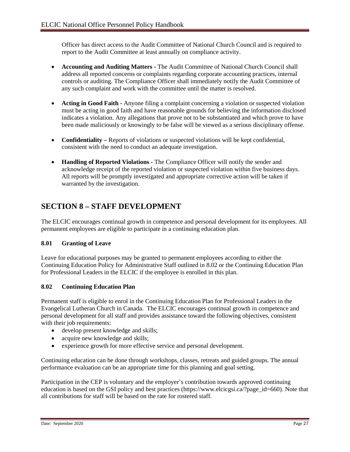Officer has direct access to the Audit Committee of National Church Council and is required to report to the Audit Committee at least annually on compliance activity.

- **Accounting and Auditing Matters -** The Audit Committee of National Church Council shall address all reported concerns or complaints regarding corporate accounting practices, internal controls or auditing. The Compliance Officer shall immediately notify the Audit Committee of any such complaint and work with the committee until the matter is resolved.
- **Acting in Good Faith -** Anyone filing a complaint concerning a violation or suspected violation must be acting in good faith and have reasonable grounds for believing the information disclosed indicates a violation. Any allegations that prove not to be substantiated and which prove to have been made maliciously or knowingly to be false will be viewed as a serious disciplinary offense.
- **Confidentiality –** Reports of violations or suspected violations will be kept confidential, consistent with the need to conduct an adequate investigation.
- **Handling of Reported Violations -** The Compliance Officer will notify the sender and acknowledge receipt of the reported violation or suspected violation within five business days. All reports will be promptly investigated and appropriate corrective action will be taken if warranted by the investigation.

## **SECTION 8 – STAFF DEVELOPMENT**

The ELCIC encourages continual growth in competence and personal development for its employees. All permanent employees are eligible to participate in a continuing education plan.

#### **8.01 Granting of Leave**

Leave for educational purposes may be granted to permanent employees according to either the Continuing Education Policy for Administrative Staff outlined in 8.02 or the Continuing Education Plan for Professional Leaders in the ELCIC if the employee is enrolled in this plan.

#### **8.02 Continuing Education Plan**

Permanent staff is eligible to enrol in the Continuing Education Plan for Professional Leaders in the Evangelical Lutheran Church in Canada. The ELCIC encourages continual growth in competence and personal development for all staff and provides assistance toward the following objectives, consistent with their job requirements:

- develop present knowledge and skills;
- acquire new knowledge and skills;
- experience growth for more effective service and personal development.

Continuing education can be done through workshops, classes, retreats and guided groups. The annual performance evaluation can be an appropriate time for this planning and goal setting.

Participation in the CEP is voluntary and the employer's contribution towards approved continuing education is based on the GSI policy and best practices [\(https://www.elcicgsi.ca/?page\\_id=660\)](https://www.elcicgsi.ca/?page_id=660). Note that all contributions for staff will be based on the rate for rostered staff.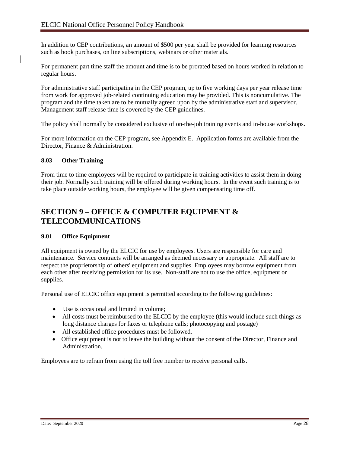In addition to CEP contributions, an amount of \$500 per year shall be provided for learning resources such as book purchases, on line subscriptions, webinars or other materials.

For permanent part time staff the amount and time is to be prorated based on hours worked in relation to regular hours.

For administrative staff participating in the CEP program, up to five working days per year release time from work for approved job-related continuing education may be provided. This is noncumulative. The program and the time taken are to be mutually agreed upon by the administrative staff and supervisor. Management staff release time is covered by the CEP guidelines.

The policy shall normally be considered exclusive of on-the-job training events and in-house workshops.

For more information on the CEP program, see Appendix E. Application forms are available from the Director, Finance & Administration.

#### **8.03 Other Training**

From time to time employees will be required to participate in training activities to assist them in doing their job. Normally such training will be offered during working hours. In the event such training is to take place outside working hours, the employee will be given compensating time off.

## **SECTION 9 – OFFICE & COMPUTER EQUIPMENT & TELECOMMUNICATIONS**

#### **9.01 Office Equipment**

All equipment is owned by the ELCIC for use by employees. Users are responsible for care and maintenance. Service contracts will be arranged as deemed necessary or appropriate. All staff are to respect the proprietorship of others' equipment and supplies. Employees may borrow equipment from each other after receiving permission for its use. Non-staff are not to use the office, equipment or supplies.

Personal use of ELCIC office equipment is permitted according to the following guidelines:

- Use is occasional and limited in volume;
- All costs must be reimbursed to the ELCIC by the employee (this would include such things as long distance charges for faxes or telephone calls; photocopying and postage)
- All established office procedures must be followed.
- Office equipment is not to leave the building without the consent of the Director, Finance and Administration.

Employees are to refrain from using the toll free number to receive personal calls.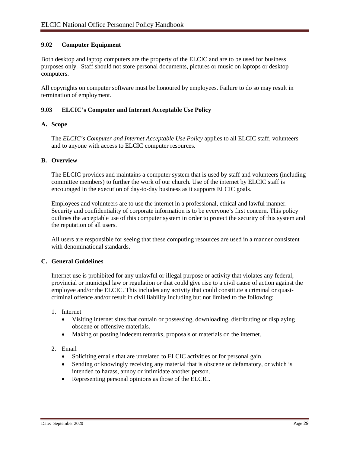#### **9.02 Computer Equipment**

Both desktop and laptop computers are the property of the ELCIC and are to be used for business purposes only. Staff should not store personal documents, pictures or music on laptops or desktop computers.

All copyrights on computer software must be honoured by employees. Failure to do so may result in termination of employment.

#### **9.03 ELCIC's Computer and Internet Acceptable Use Policy**

#### **A. Scope**

The *ELCIC's Computer and Internet Acceptable Use Policy* applies to all ELCIC staff, volunteers and to anyone with access to ELCIC computer resources.

#### **B. Overview**

The ELCIC provides and maintains a computer system that is used by staff and volunteers (including committee members) to further the work of our church. Use of the internet by ELCIC staff is encouraged in the execution of day-to-day business as it supports ELCIC goals.

Employees and volunteers are to use the internet in a professional, ethical and lawful manner. Security and confidentiality of corporate information is to be everyone's first concern. This policy outlines the acceptable use of this computer system in order to protect the security of this system and the reputation of all users.

All users are responsible for seeing that these computing resources are used in a manner consistent with denominational standards.

#### **C. General Guidelines**

Internet use is prohibited for any unlawful or illegal purpose or activity that violates any federal, provincial or municipal law or regulation or that could give rise to a civil cause of action against the employee and/or the ELCIC. This includes any activity that could constitute a criminal or quasicriminal offence and/or result in civil liability including but not limited to the following:

- 1. Internet
	- Visiting internet sites that contain or possessing, downloading, distributing or displaying obscene or offensive materials.
	- Making or posting indecent remarks, proposals or materials on the internet.

#### 2. Email

- Soliciting emails that are unrelated to ELCIC activities or for personal gain.
- Sending or knowingly receiving any material that is obscene or defamatory, or which is intended to harass, annoy or intimidate another person.
- Representing personal opinions as those of the ELCIC.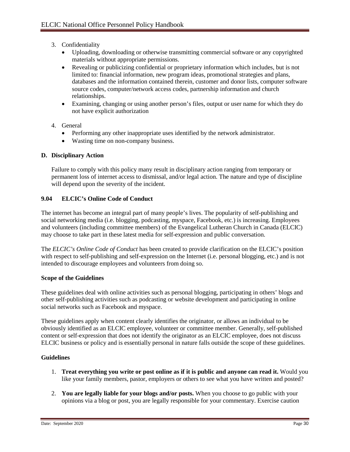- 3. Confidentiality
	- Uploading, downloading or otherwise transmitting commercial software or any copyrighted materials without appropriate permissions.
	- Revealing or publicizing confidential or proprietary information which includes, but is not limited to: financial information, new program ideas, promotional strategies and plans, databases and the information contained therein, customer and donor lists, computer software source codes, computer/network access codes, partnership information and church relationships.
	- Examining, changing or using another person's files, output or user name for which they do not have explicit authorization
- 4. General
	- Performing any other inappropriate uses identified by the network administrator.
	- Wasting time on non-company business.

#### **D. Disciplinary Action**

Failure to comply with this policy many result in disciplinary action ranging from temporary or permanent loss of internet access to dismissal, and/or legal action. The nature and type of discipline will depend upon the severity of the incident.

#### **9.04 ELCIC's Online Code of Conduct**

The internet has become an integral part of many people's lives. The popularity of self-publishing and social networking media (i.e. blogging, podcasting, myspace, Facebook, etc.) is increasing. Employees and volunteers (including committee members) of the Evangelical Lutheran Church in Canada (ELCIC) may choose to take part in these latest media for self-expression and public conversation.

The *ELCIC's Online Code of Conduct* has been created to provide clarification on the ELCIC's position with respect to self-publishing and self-expression on the Internet (i.e. personal blogging, etc.) and is not intended to discourage employees and volunteers from doing so.

#### **Scope of the Guidelines**

These guidelines deal with online activities such as personal blogging, participating in others' blogs and other self-publishing activities such as podcasting or website development and participating in online social networks such as Facebook and myspace.

These guidelines apply when content clearly identifies the originator, or allows an individual to be obviously identified as an ELCIC employee, volunteer or committee member. Generally, self-published content or self-expression that does not identify the originator as an ELCIC employee, does not discuss ELCIC business or policy and is essentially personal in nature falls outside the scope of these guidelines.

#### **Guidelines**

- 1. **Treat everything you write or post online as if it is public and anyone can read it.** Would you like your family members, pastor, employers or others to see what you have written and posted?
- 2. **You are legally liable for your blogs and/or posts.** When you choose to go public with your opinions via a blog or post, you are legally responsible for your commentary. Exercise caution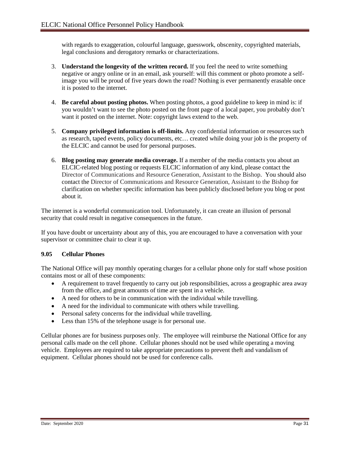with regards to exaggeration, colourful language, guesswork, obscenity, copyrighted materials, legal conclusions and derogatory remarks or characterizations.

- 3. **Understand the longevity of the written record.** If you feel the need to write something negative or angry online or in an email, ask yourself: will this comment or photo promote a selfimage you will be proud of five years down the road? Nothing is ever permanently erasable once it is posted to the internet.
- 4. **Be careful about posting photos.** When posting photos, a good guideline to keep in mind is: if you wouldn't want to see the photo posted on the front page of a local paper, you probably don't want it posted on the internet. Note: copyright laws extend to the web.
- 5. **Company privileged information is off-limits.** Any confidential information or resources such as research, taped events, policy documents, etc… created while doing your job is the property of the ELCIC and cannot be used for personal purposes.
- 6. **Blog posting may generate media coverage.** If a member of the media contacts you about an ELCIC-related blog posting or requests ELCIC information of any kind, please contact the Director of Communications and Resource Generation, Assistant to the Bishop. You should also contact the Director of Communications and Resource Generation, Assistant to the Bishop for clarification on whether specific information has been publicly disclosed before you blog or post about it.

The internet is a wonderful communication tool. Unfortunately, it can create an illusion of personal security that could result in negative consequences in the future.

If you have doubt or uncertainty about any of this, you are encouraged to have a conversation with your supervisor or committee chair to clear it up.

#### **9.05 Cellular Phones**

The National Office will pay monthly operating charges for a cellular phone only for staff whose position contains most or all of these components:

- A requirement to travel frequently to carry out job responsibilities, across a geographic area away from the office, and great amounts of time are spent in a vehicle.
- A need for others to be in communication with the individual while travelling.
- A need for the individual to communicate with others while travelling.
- Personal safety concerns for the individual while travelling.
- Less than 15% of the telephone usage is for personal use.

Cellular phones are for business purposes only. The employee will reimburse the National Office for any personal calls made on the cell phone. Cellular phones should not be used while operating a moving vehicle. Employees are required to take appropriate precautions to prevent theft and vandalism of equipment. Cellular phones should not be used for conference calls.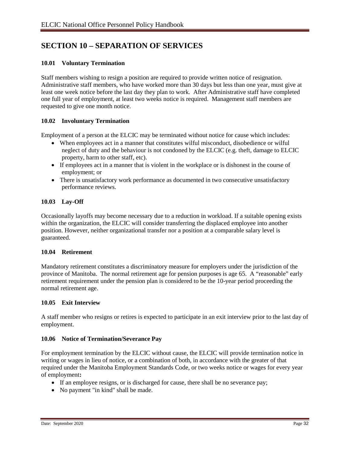## **SECTION 10 – SEPARATION OF SERVICES**

#### **10.01 Voluntary Termination**

Staff members wishing to resign a position are required to provide written notice of resignation. Administrative staff members, who have worked more than 30 days but less than one year, must give at least one week notice before the last day they plan to work. After Administrative staff have completed one full year of employment, at least two weeks notice is required. Management staff members are requested to give one month notice.

#### **10.02 Involuntary Termination**

Employment of a person at the ELCIC may be terminated without notice for cause which includes:

- When employees act in a manner that constitutes wilful misconduct, disobedience or wilful neglect of duty and the behaviour is not condoned by the ELCIC (e.g. theft, damage to ELCIC property, harm to other staff, etc).
- If employees act in a manner that is violent in the workplace or is dishonest in the course of employment; or
- There is unsatisfactory work performance as documented in two consecutive unsatisfactory performance reviews.

#### **10.03 Lay-Off**

Occasionally layoffs may become necessary due to a reduction in workload. If a suitable opening exists within the organization, the ELCIC will consider transferring the displaced employee into another position. However, neither organizational transfer nor a position at a comparable salary level is guaranteed.

#### **10.04 Retirement**

Mandatory retirement constitutes a discriminatory measure for employers under the jurisdiction of the province of Manitoba. The normal retirement age for pension purposes is age 65. A "reasonable" early retirement requirement under the pension plan is considered to be the 10-year period proceeding the normal retirement age.

#### **10.05 Exit Interview**

A staff member who resigns or retires is expected to participate in an exit interview prior to the last day of employment.

#### **10.06 Notice of Termination/Severance Pay**

For employment termination by the ELCIC without cause, the ELCIC will provide termination notice in writing or wages in lieu of notice, or a combination of both, in accordance with the greater of that required under the Manitoba Employment Standards Code, or two weeks notice or wages for every year of employment**:** 

- If an employee resigns, or is discharged for cause, there shall be no severance pay;
- No payment "in kind" shall be made.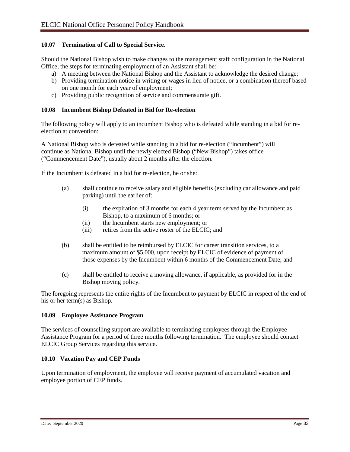#### **10.07 Termination of Call to Special Service**.

Should the National Bishop wish to make changes to the management staff configuration in the National Office, the steps for terminating employment of an Assistant shall be:

- a) A meeting between the National Bishop and the Assistant to acknowledge the desired change;
- b) Providing termination notice in writing or wages in lieu of notice, or a combination thereof based on one month for each year of employment;
- c) Providing public recognition of service and commensurate gift.

#### **10.08 Incumbent Bishop Defeated in Bid for Re-election**

The following policy will apply to an incumbent Bishop who is defeated while standing in a bid for reelection at convention:

A National Bishop who is defeated while standing in a bid for re-election ("Incumbent") will continue as National Bishop until the newly elected Bishop ("New Bishop") takes office ("Commencement Date"), usually about 2 months after the election.

If the Incumbent is defeated in a bid for re-election, he or she:

- (a) shall continue to receive salary and eligible benefits (excluding car allowance and paid parking) until the earlier of:
	- (i) the expiration of 3 months for each 4 year term served by the Incumbent as Bishop, to a maximum of 6 months; or
	- (ii) the Incumbent starts new employment; or
	- (iii) retires from the active roster of the ELCIC; and
- (b) shall be entitled to be reimbursed by ELCIC for career transition services, to a maximum amount of \$5,000, upon receipt by ELCIC of evidence of payment of those expenses by the Incumbent within 6 months of the Commencement Date; and
- (c) shall be entitled to receive a moving allowance, if applicable, as provided for in the Bishop moving policy.

The foregoing represents the entire rights of the Incumbent to payment by ELCIC in respect of the end of his or her term(s) as Bishop.

#### **10.09 Employee Assistance Program**

The services of counselling support are available to terminating employees through the Employee Assistance Program for a period of three months following termination. The employee should contact ELCIC Group Services regarding this service.

#### **10.10 Vacation Pay and CEP Funds**

Upon termination of employment, the employee will receive payment of accumulated vacation and employee portion of CEP funds.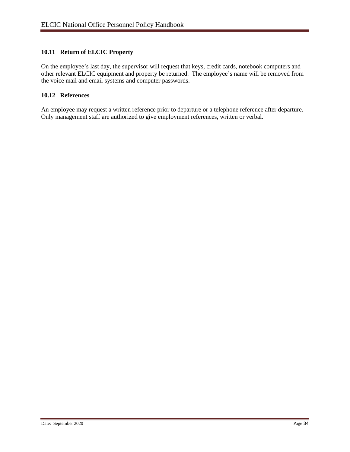#### **10.11 Return of ELCIC Property**

On the employee's last day, the supervisor will request that keys, credit cards, notebook computers and other relevant ELCIC equipment and property be returned. The employee's name will be removed from the voice mail and email systems and computer passwords.

#### **10.12 References**

An employee may request a written reference prior to departure or a telephone reference after departure. Only management staff are authorized to give employment references, written or verbal.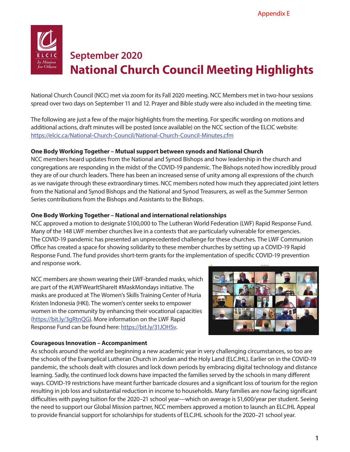

# **September 2020 National Church Council Meeting Highlights**

National Church Council (NCC) met via zoom for its Fall 2020 meeting. NCC Members met in two-hour sessions spread over two days on September 11 and 12. Prayer and Bible study were also included in the meeting time.

The following are just a few of the major highlights from the meeting. For specific wording on motions and additional actions, draft minutes will be posted (once available) on the NCC section of the ELCIC website: https://elcic.ca/National-Church-Council/National-Church-Council-Minutes.cfm

#### **One Body Working Together – Mutual support between synods and National Church**

NCC members heard updates from the National and Synod Bishops and how leadership in the church and congregations are responding in the midst of the COVID-19 pandemic. The Bishops noted how incredibly proud they are of our church leaders. There has been an increased sense of unity among all expressions of the church as we navigate through these extraordinary times. NCC members noted how much they appreciated joint letters from the National and Synod Bishops and the National and Synod Treasurers, as well as the Summer Sermon Series contributions from the Bishops and Assistants to the Bishops.

## **One Body Working Together – National and international relationships**

NCC approved a motion to designate \$100,000 to The Lutheran World Federation (LWF) Rapid Response Fund. Many of the 148 LWF member churches live in a contexts that are particularly vulnerable for emergencies. The COVID-19 pandemic has presented an unprecedented challenge for these churches. The LWF Communion Office has created a space for showing solidarity to these member churches by setting up a COVID-19 Rapid Response Fund. The fund provides short-term grants for the implementation of specific COVID-19 prevention and response work.

NCC members are shown wearing their LWF-branded masks, which are part of the #LWFWearItShareIt #MaskMondays initiative. The masks are produced at The Women's Skills Training Center of Huria Kristen Indonesia (HKI). The women's center seeks to empower women in the community by enhancing their vocational capacities [\(https://bit.ly/3gRtnQG\)](https://bit.ly/3gRtnQG). More information on the LWF Rapid Response Fund can be found here: [https://bit.ly/31JOHSv](https://bit.ly/31JOHSv?fbclid=IwAR2v7OBeXcLvo4x1plKmmOKaf20gT8KvSdAPTByooyJV71abXlkdRp6BSdU).



## **Courageous Innovation – Accompaniment**

As schools around the world are beginning a new academic year in very challenging circumstances, so too are the schools of the Evangelical Lutheran Church in Jordan and the Holy Land (ELCJHL). Earlier on in the COVID-19 pandemic, the schools dealt with closures and lock down periods by embracing digital technology and distance learning. Sadly, the continued lock downs have impacted the families served by the schools in many different ways. COVID-19 restrictions have meant further barricade closures and a significant loss of tourism for the region resulting in job loss and substantial reduction in income to households. Many families are now facing significant difficulties with paying tuition for the 2020–21 school year—which on average is \$1,600/year per student. Seeing the need to support our Global Mission partner, NCC members approved a motion to launch an ELCJHL Appeal to provide financial support for scholarships for students of ELCJHL schools for the 2020–21 school year.